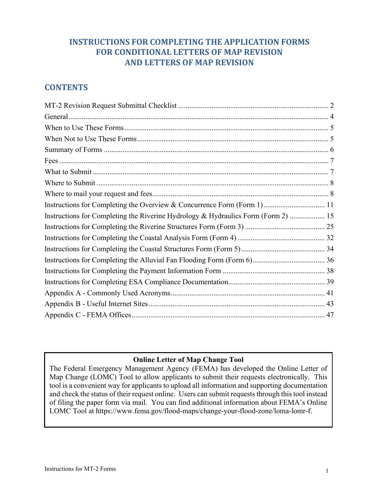# **INSTRUCTIONS FOR COMPLETING THE APPLICATION FORMS FOR CONDITIONAL LETTERS OF MAP REVISION AND LETTERS OF MAP REVISION**

# **CONTENTS**

| Instructions for Completing the Overview & Concurrence Form (Form 1) 11           |
|-----------------------------------------------------------------------------------|
| Instructions for Completing the Riverine Hydrology & Hydraulics Form (Form 2)  15 |
|                                                                                   |
|                                                                                   |
|                                                                                   |
|                                                                                   |
|                                                                                   |
|                                                                                   |
|                                                                                   |
|                                                                                   |
|                                                                                   |

## **Online Letter of Map Change Tool**

The Federal Emergency Management Agency (FEMA) has developed the Online Letter of Map Change (LOMC) Tool to allow applicants to submit their requests electronically. This tool is a convenient way for applicants to upload all information and supporting documentation and check the status of their request online. Users can submit requests through this tool instead of filing the paper form via mail. You can find additional information about FEMA's Online LOMC Tool at https://www.fema.gov/flood-maps/change-your-flood-zone/loma-lomr-f.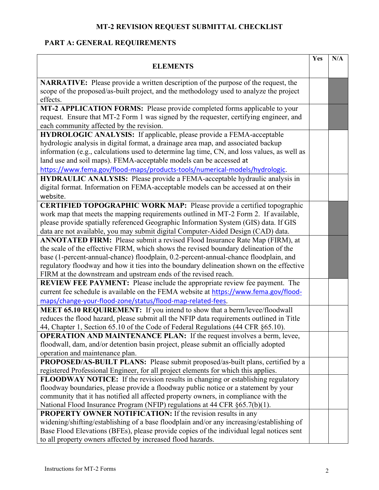# **MT-2 REVISION REQUEST SUBMITTAL CHECKLIST**

# <span id="page-1-0"></span>**PART A: GENERAL REQUIREMENTS**

|                                                                                                                                                                            | Yes | N/A |
|----------------------------------------------------------------------------------------------------------------------------------------------------------------------------|-----|-----|
| <b>ELEMENTS</b>                                                                                                                                                            |     |     |
| <b>NARRATIVE:</b> Please provide a written description of the purpose of the request, the                                                                                  |     |     |
| scope of the proposed/as-built project, and the methodology used to analyze the project                                                                                    |     |     |
| effects.                                                                                                                                                                   |     |     |
| MT-2 APPLICATION FORMS: Please provide completed forms applicable to your                                                                                                  |     |     |
| request. Ensure that MT-2 Form 1 was signed by the requester, certifying engineer, and                                                                                     |     |     |
| each community affected by the revision.                                                                                                                                   |     |     |
| <b>HYDROLOGIC ANALYSIS:</b> If applicable, please provide a FEMA-acceptable                                                                                                |     |     |
| hydrologic analysis in digital format, a drainage area map, and associated backup                                                                                          |     |     |
| information (e.g., calculations used to determine lag time, CN, and loss values, as well as                                                                                |     |     |
| land use and soil maps). FEMA-acceptable models can be accessed at                                                                                                         |     |     |
| https://www.fema.gov/flood-maps/products-tools/numerical-models/hydrologic.                                                                                                |     |     |
| HYDRAULIC ANALYSIS: Please provide a FEMA-acceptable hydraulic analysis in                                                                                                 |     |     |
| digital format. Information on FEMA-acceptable models can be accessed at on their                                                                                          |     |     |
| website.                                                                                                                                                                   |     |     |
| CERTIFIED TOPOGRAPHIC WORK MAP: Please provide a certified topographic                                                                                                     |     |     |
| work map that meets the mapping requirements outlined in MT-2 Form 2. If available,                                                                                        |     |     |
| please provide spatially referenced Geographic Information System (GIS) data. If GIS                                                                                       |     |     |
| data are not available, you may submit digital Computer-Aided Design (CAD) data.                                                                                           |     |     |
| ANNOTATED FIRM: Please submit a revised Flood Insurance Rate Map (FIRM), at                                                                                                |     |     |
| the scale of the effective FIRM, which shows the revised boundary delineation of the                                                                                       |     |     |
| base (1-percent-annual-chance) floodplain, 0.2-percent-annual-chance floodplain, and                                                                                       |     |     |
| regulatory floodway and how it ties into the boundary delineation shown on the effective                                                                                   |     |     |
| FIRM at the downstream and upstream ends of the revised reach.                                                                                                             |     |     |
| <b>REVIEW FEE PAYMENT:</b> Please include the appropriate review fee payment. The                                                                                          |     |     |
| current fee schedule is available on the FEMA website at https://www.fema.gov/flood-                                                                                       |     |     |
| maps/change-your-flood-zone/status/flood-map-related-fees.                                                                                                                 |     |     |
| MEET 65.10 REQUIREMENT: If you intend to show that a berm/levee/floodwall                                                                                                  |     |     |
| reduces the flood hazard, please submit all the NFIP data requirements outlined in Title                                                                                   |     |     |
| 44, Chapter 1, Section 65.10 of the Code of Federal Regulations (44 CFR §65.10).                                                                                           |     |     |
| <b>OPERATION AND MAINTENANCE PLAN:</b> If the request involves a berm, levee,                                                                                              |     |     |
| floodwall, dam, and/or detention basin project, please submit an officially adopted                                                                                        |     |     |
| operation and maintenance plan.                                                                                                                                            |     |     |
| PROPOSED/AS-BUILT PLANS: Please submit proposed/as-built plans, certified by a                                                                                             |     |     |
| registered Professional Engineer, for all project elements for which this applies.                                                                                         |     |     |
| FLOODWAY NOTICE: If the revision results in changing or establishing regulatory                                                                                            |     |     |
| floodway boundaries, please provide a floodway public notice or a statement by your<br>community that it has notified all affected property owners, in compliance with the |     |     |
| National Flood Insurance Program (NFIP) regulations at 44 CFR $\S 65.7(b)(1)$ .                                                                                            |     |     |
| PROPERTY OWNER NOTIFICATION: If the revision results in any                                                                                                                |     |     |
| widening/shifting/establishing of a base floodplain and/or any increasing/establishing of                                                                                  |     |     |
| Base Flood Elevations (BFEs), please provide copies of the individual legal notices sent                                                                                   |     |     |
| to all property owners affected by increased flood hazards.                                                                                                                |     |     |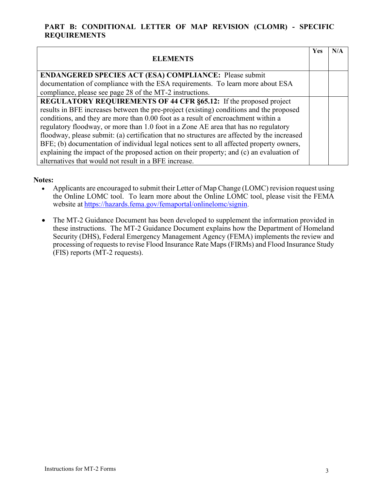## **PART B: CONDITIONAL LETTER OF MAP REVISION (CLOMR) - SPECIFIC REQUIREMENTS**

| <b>ELEMENTS</b>                                                                             | <b>Yes</b> | N/A |
|---------------------------------------------------------------------------------------------|------------|-----|
| <b>ENDANGERED SPECIES ACT (ESA) COMPLIANCE:</b> Please submit                               |            |     |
| documentation of compliance with the ESA requirements. To learn more about ESA              |            |     |
| compliance, please see page 28 of the MT-2 instructions.                                    |            |     |
| REGULATORY REQUIREMENTS OF 44 CFR §65.12: If the proposed project                           |            |     |
| results in BFE increases between the pre-project (existing) conditions and the proposed     |            |     |
| conditions, and they are more than 0.00 foot as a result of encroachment within a           |            |     |
| regulatory floodway, or more than 1.0 foot in a Zone AE area that has no regulatory         |            |     |
| floodway, please submit: (a) certification that no structures are affected by the increased |            |     |
| BFE; (b) documentation of individual legal notices sent to all affected property owners,    |            |     |
| explaining the impact of the proposed action on their property; and (c) an evaluation of    |            |     |
| alternatives that would not result in a BFE increase.                                       |            |     |

#### **Notes:**

- Applicants are encouraged to submit their Letter of Map Change (LOMC) revision request using the Online LOMC tool. To learn more about the Online LOMC tool, please visit the FEMA website at <https://hazards.fema.gov/femaportal/onlinelomc/signin>.
- The MT**-**2 Guidance Document has been developed to supplement the information provided in these instructions. The MT-2 Guidance Document explains how the Department of Homeland Security (DHS), Federal Emergency Management Agency (FEMA) implements the review and processing of requests to revise Flood Insurance Rate Maps (FIRMs) and Flood Insurance Study (FIS) reports (MT-2 requests).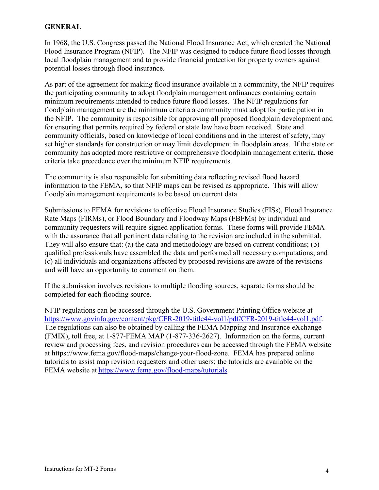## <span id="page-3-0"></span>**GENERAL**

In 1968, the U.S. Congress passed the National Flood Insurance Act, which created the National Flood Insurance Program (NFIP). The NFIP was designed to reduce future flood losses through local floodplain management and to provide financial protection for property owners against potential losses through flood insurance.

As part of the agreement for making flood insurance available in a community, the NFIP requires the participating community to adopt floodplain management ordinances containing certain minimum requirements intended to reduce future flood losses. The NFIP regulations for floodplain management are the minimum criteria a community must adopt for participation in the NFIP. The community is responsible for approving all proposed floodplain development and for ensuring that permits required by federal or state law have been received. State and community officials, based on knowledge of local conditions and in the interest of safety, may set higher standards for construction or may limit development in floodplain areas. If the state or community has adopted more restrictive or comprehensive floodplain management criteria, those criteria take precedence over the minimum NFIP requirements.

The community is also responsible for submitting data reflecting revised flood hazard information to the FEMA, so that NFIP maps can be revised as appropriate. This will allow floodplain management requirements to be based on current data.

Submissions to FEMA for revisions to effective Flood Insurance Studies (FISs), Flood Insurance Rate Maps (FIRMs), or Flood Boundary and Floodway Maps (FBFMs) by individual and community requesters will require signed application forms. These forms will provide FEMA with the assurance that all pertinent data relating to the revision are included in the submittal. They will also ensure that: (a) the data and methodology are based on current conditions; (b) qualified professionals have assembled the data and performed all necessary computations; and (c) all individuals and organizations affected by proposed revisions are aware of the revisions and will have an opportunity to comment on them.

If the submission involves revisions to multiple flooding sources, separate forms should be completed for each flooding source.

NFIP regulations can be accessed through the U.S. Government Printing Office website at [https://www.govinfo.gov/content/pkg/CFR-2019-title44-vol1/pdf/CFR-2019-title44-vol1.pdf.](https://www.govinfo.gov/content/pkg/CFR-2019-title44-vol1/pdf/CFR-2019-title44-vol1.pdf) The regulations can also be obtained by calling the FEMA Mapping and Insurance eXchange (FMIX), toll free, at 1-877-FEMA MAP (1-877-336-2627). Information on the forms, current review and processing fees, and revision procedures can be accessed through the FEMA website at https://www.fema.gov/flood-maps/change-your-flood-zone. FEMA has prepared online tutorials to assist map revision requesters and other users; the tutorials are available on the FEMA website at <https://www.fema.gov/flood-maps/tutorials>.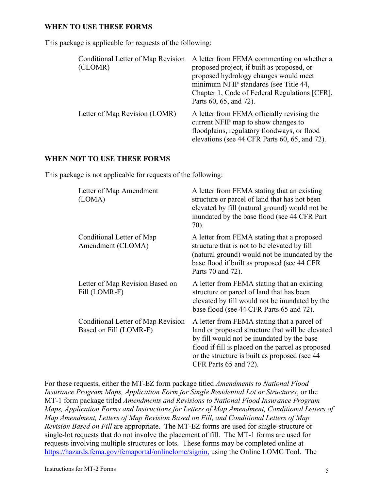#### <span id="page-4-0"></span>**WHEN TO USE THESE FORMS**

This package is applicable for requests of the following:

| Conditional Letter of Map Revision<br>(CLOMR) | A letter from FEMA commenting on whether a<br>proposed project, if built as proposed, or<br>proposed hydrology changes would meet<br>minimum NFIP standards (see Title 44,<br>Chapter 1, Code of Federal Regulations [CFR],<br>Parts 60, 65, and 72). |
|-----------------------------------------------|-------------------------------------------------------------------------------------------------------------------------------------------------------------------------------------------------------------------------------------------------------|
| Letter of Map Revision (LOMR)                 | A letter from FEMA officially revising the<br>current NFIP map to show changes to<br>floodplains, regulatory floodways, or flood<br>elevations (see 44 CFR Parts 60, 65, and 72).                                                                     |

#### <span id="page-4-1"></span>**WHEN NOT TO USE THESE FORMS**

This package is not applicable for requests of the following:

| Letter of Map Amendment<br>(LOMA)                            | A letter from FEMA stating that an existing<br>structure or parcel of land that has not been<br>elevated by fill (natural ground) would not be<br>inundated by the base flood (see 44 CFR Part<br>70).                                                                        |
|--------------------------------------------------------------|-------------------------------------------------------------------------------------------------------------------------------------------------------------------------------------------------------------------------------------------------------------------------------|
| Conditional Letter of Map<br>Amendment (CLOMA)               | A letter from FEMA stating that a proposed<br>structure that is not to be elevated by fill<br>(natural ground) would not be inundated by the<br>base flood if built as proposed (see 44 CFR)<br>Parts 70 and 72).                                                             |
| Letter of Map Revision Based on<br>Fill (LOMR-F)             | A letter from FEMA stating that an existing<br>structure or parcel of land that has been<br>elevated by fill would not be inundated by the<br>base flood (see 44 CFR Parts 65 and 72).                                                                                        |
| Conditional Letter of Map Revision<br>Based on Fill (LOMR-F) | A letter from FEMA stating that a parcel of<br>land or proposed structure that will be elevated<br>by fill would not be inundated by the base<br>flood if fill is placed on the parcel as proposed<br>or the structure is built as proposed (see 44)<br>CFR Parts 65 and 72). |

For these requests, either the MT-EZ form package titled *Amendments to National Flood Insurance Program Maps, Application Form for Single Residential Lot or Structures*, or the MT-1 form package titled *Amendments and Revisions to National Flood Insurance Program Maps, Application Forms and Instructions for Letters of Map Amendment, Conditional Letters of Map Amendment, Letters of Map Revision Based on Fill, and Conditional Letters of Map Revision Based on Fill* are appropriate. The MT-EZ forms are used for single-structure or single-lot requests that do not involve the placement of fill. The MT-1 forms are used for requests involving multiple structures or lots. These forms may be completed online at [https://hazards.fema.gov/femaportal/onlinelomc/signin,](https://hazards.fema.gov/femaportal/onlinelomc/signin) using the Online LOMC Tool. The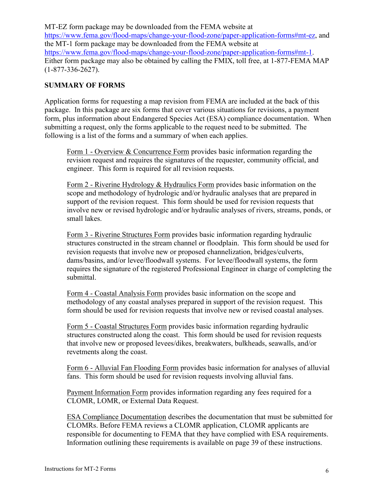MT-EZ form package may be downloaded from the FEMA website at [https://www.fema.gov/flood-maps/change-your-flood-zone/paper-application-forms#mt-ez,](https://www.fema.gov/flood-maps/change-your-flood-zone/paper-application-forms#mt-ez) and the MT-1 form package may be downloaded from the FEMA website at [https://www.fema.gov/flood-maps/change-your-flood-zone/paper-application-forms#mt-1.](https://www.fema.gov/flood-maps/change-your-flood-zone/paper-application-forms#mt-1) Either form package may also be obtained by calling the FMIX, toll free, at 1-877-FEMA MAP (1-877-336-2627).

## <span id="page-5-0"></span>**SUMMARY OF FORMS**

Application forms for requesting a map revision from FEMA are included at the back of this package. In this package are six forms that cover various situations for revisions, a payment form, plus information about Endangered Species Act (ESA) compliance documentation. When submitting a request, only the forms applicable to the request need to be submitted. The following is a list of the forms and a summary of when each applies.

Form 1 - Overview & Concurrence Form provides basic information regarding the revision request and requires the signatures of the requester, community official, and engineer. This form is required for all revision requests.

Form 2 - Riverine Hydrology & Hydraulics Form provides basic information on the scope and methodology of hydrologic and/or hydraulic analyses that are prepared in support of the revision request. This form should be used for revision requests that involve new or revised hydrologic and/or hydraulic analyses of rivers, streams, ponds, or small lakes.

Form 3 - Riverine Structures Form provides basic information regarding hydraulic structures constructed in the stream channel or floodplain. This form should be used for revision requests that involve new or proposed channelization, bridges/culverts, dams/basins, and/or levee/floodwall systems. For levee/floodwall systems, the form requires the signature of the registered Professional Engineer in charge of completing the submittal.

Form 4 - Coastal Analysis Form provides basic information on the scope and methodology of any coastal analyses prepared in support of the revision request. This form should be used for revision requests that involve new or revised coastal analyses.

Form 5 - Coastal Structures Form provides basic information regarding hydraulic structures constructed along the coast. This form should be used for revision requests that involve new or proposed levees/dikes, breakwaters, bulkheads, seawalls, and/or revetments along the coast.

Form 6 - Alluvial Fan Flooding Form provides basic information for analyses of alluvial fans. This form should be used for revision requests involving alluvial fans.

Payment Information Form provides information regarding any fees required for a CLOMR, LOMR, or External Data Request.

ESA Compliance Documentation describes the documentation that must be submitted for CLOMRs. Before FEMA reviews a CLOMR application, CLOMR applicants are responsible for documenting to FEMA that they have complied with ESA requirements. Information outlining these requirements is available on page [39](#page-38-0) of these instructions.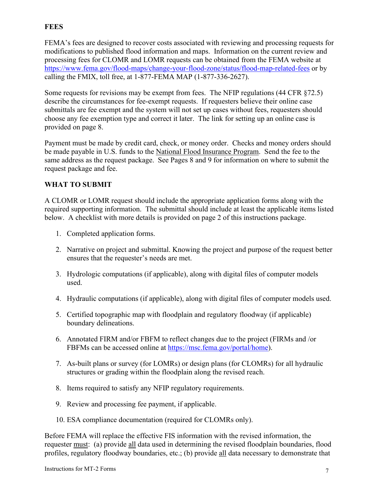## <span id="page-6-0"></span>**FEES**

FEMA's fees are designed to recover costs associated with reviewing and processing requests for modifications to published flood information and maps. Information on the current review and processing fees for CLOMR and LOMR requests can be obtained from the FEMA website at <https://www.fema.gov/flood-maps/change-your-flood-zone/status/flood-map-related-fees> or by calling the FMIX, toll free, at 1-877-FEMA MAP (1-877-336-2627).

Some requests for revisions may be exempt from fees. The NFIP regulations (44 CFR §72.5) describe the circumstances for fee-exempt requests. If requesters believe their online case submittals are fee exempt and the system will not set up cases without fees, requesters should choose any fee exemption type and correct it later. The link for setting up an online case is provided on page [8.](#page-7-0)

Payment must be made by credit card, check, or money order. Checks and money orders should be made payable in U.S. funds to the National Flood Insurance Program. Send the fee to the same address as the request package. See Pages [8](#page-7-0) and 9 for information on where to submit the request package and fee.

# <span id="page-6-1"></span>**WHAT TO SUBMIT**

A CLOMR or LOMR request should include the appropriate application forms along with the required supporting information. The submittal should include at least the applicable items listed below. A checklist with more details is provided on page [2](#page-1-0) of this instructions package.

- 1. Completed application forms.
- 2. Narrative on project and submittal. Knowing the project and purpose of the request better ensures that the requester's needs are met.
- 3. Hydrologic computations (if applicable), along with digital files of computer models used.
- 4. Hydraulic computations (if applicable), along with digital files of computer models used.
- 5. Certified topographic map with floodplain and regulatory floodway (if applicable) boundary delineations.
- 6. Annotated FIRM and/or FBFM to reflect changes due to the project (FIRMs and /or FBFMs can be accessed online at [https://msc.fema.gov/portal/home\)](https://msc.fema.gov/portal/home).
- 7. As-built plans or survey (for LOMRs) or design plans (for CLOMRs) for all hydraulic structures or grading within the floodplain along the revised reach.
- 8. Items required to satisfy any NFIP regulatory requirements.
- 9. Review and processing fee payment, if applicable.
- 10. ESA compliance documentation (required for CLOMRs only).

Before FEMA will replace the effective FIS information with the revised information, the requester must: (a) provide all data used in determining the revised floodplain boundaries, flood profiles, regulatory floodway boundaries, etc.; (b) provide all data necessary to demonstrate that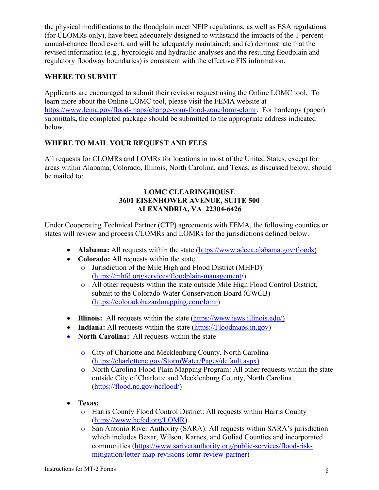the physical modifications to the floodplain meet NFIP regulations, as well as ESA regulations (for CLOMRs only), have been adequately designed to withstand the impacts of the 1-percentannual-chance flood event, and will be adequately maintained; and (c) demonstrate that the revised information (e.g., hydrologic and hydraulic analyses and the resulting floodplain and regulatory floodway boundaries) is consistent with the effective FIS information.

# <span id="page-7-0"></span>**WHERE TO SUBMIT**

Applicants are encouraged to submit their revision request using the Online LOMC tool. To learn more about the Online LOMC tool, please visit the FEMA website at [https://www.fema.gov/flood-maps/change-your-flood-zone/lomr-clomr.](https://www.fema.gov/flood-maps/change-your-flood-zone/lomr-clomr) For hardcopy (paper) submittals**,** the completed package should be submitted to the appropriate address indicated below.

# <span id="page-7-1"></span>**WHERE TO MAIL YOUR REQUEST AND FEES**

All requests for CLOMRs and LOMRs for locations in most of the United States, except for areas within Alabama, Colorado, Illinois, North Carolina, and Texas, as discussed below, should be mailed to:

## **LOMC CLEARINGHOUSE 3601 EISENHOWER AVENUE, SUITE 500 ALEXANDRIA, VA 22304-6426**

Under Cooperating Technical Partner (CTP) agreements with FEMA, the following counties or states will review and process CLOMRs and LOMRs for the jurisdictions defined below.

- **Alabama:** All requests within the state [\(https://www.adeca.alabama.gov/floods\)](https://www.adeca.alabama.gov/floods)
- **Colorado:** All requests within the state
	- o Jurisdiction of the Mile High and Flood District (MHFD) [\(https://mhfd.org/services/floodplain-management](https://mhfd.org/services/floodplain-management)**/**)
	- o All other requests within the state outside Mile High Flood Control District, submit to the Colorado Water Conservation Board (CWCB) [\(https://coloradohazardmapping.com/lomr\)](https://urldefense.proofpoint.com/v2/url?u=https-3A__coloradohazardmapping.com_lomr&d=DwMGaQ&c=sdnEM9SRGFuMt5z5w3AhsPNahmNicq64TgF1JwNR0cs&r=8ST-wnIyvZIONfxDVO4ZGAGQD73IHiJVZPhw2f0r5BE&m=5R57A6qS7zyHVvarQAf_60iH0ba-T6dR9Z6IMRISego&s=8GWtw2mKo3iIHDIN6oCZLXf_eccdzip-3amlikorzmY&e=)
- **Illinois:** All requests within the state [\(https://www.isws.illinois.edu/\)](https://www.isws.illinois.edu/)
- **Indiana:** All requests within the state [\(https://Floodmaps.in.gov\)](https://www.in.gov/dnr/water/surface-water/indiana-floodplain-mapping/)
- **North Carolina:** All requests within the state
	- o City of Charlotte and Mecklenburg County, North Carolina [\(https://charlottenc.gov/StormWater/Pages/default.aspx\)](https://charlottenc.gov/StormWater/Pages/default.aspx)
	- o North Carolina Flood Plain Mapping Program: All other requests within the state outside City of Charlotte and Mecklenburg County, North Carolina [\(https://flood.nc.gov/ncflood/\)](https://flood.nc.gov/ncflood/)
- **Texas:** 
	- o Harris County Flood Control District: All requests within Harris County [\(https://www.hcfcd.org/LOMR\)](https://www.hcfcd.org/LOMR)
	- o San Antonio River Authority (SARA): All requests within SARA's jurisdiction which includes Bexar, Wilson, Karnes, and Goliad Counties and incorporated communities [\(https://www.sariverauthority.org/public-services/flood-risk](https://www.sariverauthority.org/public-services/flood-risk-mitigation/letter-map-revisions-lomr-review-partner)[mitigation/letter-map-revisions-lomr-review-partner\)](https://www.sariverauthority.org/public-services/flood-risk-mitigation/letter-map-revisions-lomr-review-partner)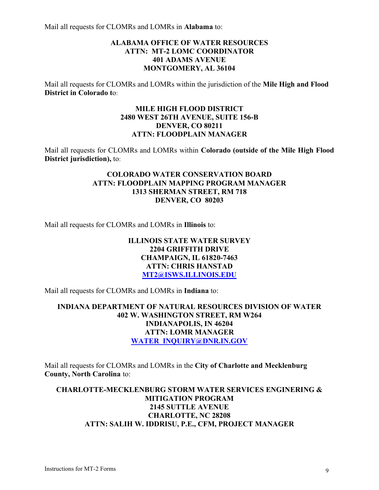Mail all requests for CLOMRs and LOMRs in **Alabama** to:

## **ALABAMA OFFICE OF WATER RESOURCES ATTN: MT-2 LOMC COORDINATOR 401 ADAMS AVENUE MONTGOMERY, AL 36104**

Mail all requests for CLOMRs and LOMRs within the jurisdiction of the **Mile High and Flood District in Colorado t**o:

### **MILE HIGH FLOOD DISTRICT 2480 WEST 26TH AVENUE, SUITE 156-B DENVER, CO 80211 ATTN: FLOODPLAIN MANAGER**

Mail all requests for CLOMRs and LOMRs within **Colorado (outside of the Mile High Flood District jurisdiction),** to:

## **COLORADO WATER CONSERVATION BOARD ATTN: FLOODPLAIN MAPPING PROGRAM MANAGER 1313 SHERMAN STREET, RM 718 DENVER, CO 80203**

Mail all requests for CLOMRs and LOMRs in **Illinois** to:

## **ILLINOIS STATE WATER SURVEY 2204 GRIFFITH DRIVE CHAMPAIGN, IL 61820-7463 ATTN: CHRIS HANSTAD [MT2@ISWS.ILLINOIS.EDU](mailto:MT2@isws.illinois.edu)**

Mail all requests for CLOMRs and LOMRs in **Indiana** to:

## **INDIANA DEPARTMENT OF NATURAL RESOURCES DIVISION OF WATER 402 W. WASHINGTON STREET, RM W264 INDIANAPOLIS, IN 46204 ATTN: LOMR MANAGER [WATER\\_INQUIRY@DNR.IN.GOV](mailto:Water_inquiry@dnr.in.gov)**

Mail all requests for CLOMRs and LOMRs in the **City of Charlotte and Mecklenburg County, North Carolina** to:

## **CHARLOTTE-MECKLENBURG STORM WATER SERVICES ENGINERING & MITIGATION PROGRAM 2145 SUTTLE AVENUE CHARLOTTE, NC 28208 ATTN: SALIH W. IDDRISU, P.E., CFM, PROJECT MANAGER**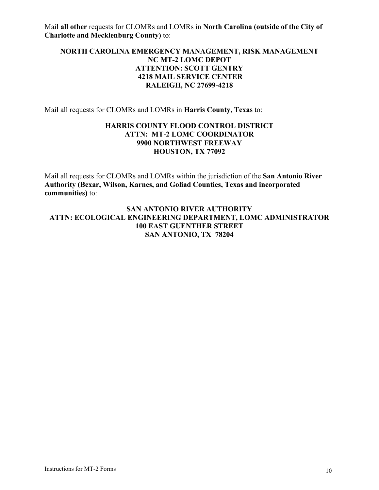Mail **all other** requests for CLOMRs and LOMRs in **North Carolina (outside of the City of Charlotte and Mecklenburg County)** to:

## **NORTH CAROLINA EMERGENCY MANAGEMENT, RISK MANAGEMENT NC MT-2 LOMC DEPOT ATTENTION: SCOTT GENTRY 4218 MAIL SERVICE CENTER RALEIGH, NC 27699-4218**

Mail all requests for CLOMRs and LOMRs in **Harris County, Texas** to:

### **HARRIS COUNTY FLOOD CONTROL DISTRICT ATTN: MT-2 LOMC COORDINATOR 9900 NORTHWEST FREEWAY HOUSTON, TX 77092**

Mail all requests for CLOMRs and LOMRs within the jurisdiction of the **San Antonio River Authority (Bexar, Wilson, Karnes, and Goliad Counties, Texas and incorporated communities)** to:

**SAN ANTONIO RIVER AUTHORITY ATTN: ECOLOGICAL ENGINEERING DEPARTMENT, LOMC ADMINISTRATOR 100 EAST GUENTHER STREET SAN ANTONIO, TX 78204**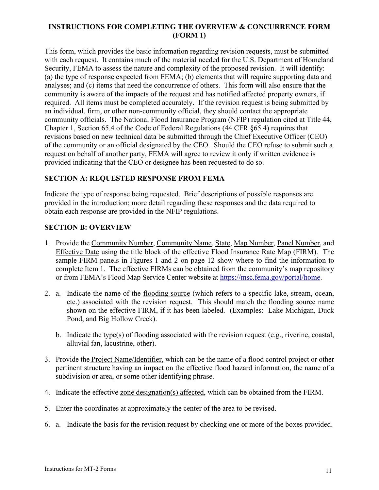## <span id="page-10-0"></span>**INSTRUCTIONS FOR COMPLETING THE OVERVIEW & CONCURRENCE FORM (FORM 1)**

This form, which provides the basic information regarding revision requests, must be submitted with each request. It contains much of the material needed for the U.S. Department of Homeland Security, FEMA to assess the nature and complexity of the proposed revision. It will identify: (a) the type of response expected from FEMA; (b) elements that will require supporting data and analyses; and (c) items that need the concurrence of others. This form will also ensure that the community is aware of the impacts of the request and has notified affected property owners, if required. All items must be completed accurately. If the revision request is being submitted by an individual, firm, or other non-community official, they should contact the appropriate community officials. The National Flood Insurance Program (NFIP) regulation cited at Title 44, Chapter 1, Section 65.4 of the Code of Federal Regulations (44 CFR §65.4) requires that revisions based on new technical data be submitted through the Chief Executive Officer (CEO) of the community or an official designated by the CEO. Should the CEO refuse to submit such a request on behalf of another party, FEMA will agree to review it only if written evidence is provided indicating that the CEO or designee has been requested to do so.

## **SECTION A: REQUESTED RESPONSE FROM FEMA**

Indicate the type of response being requested. Brief descriptions of possible responses are provided in the introduction; more detail regarding these responses and the data required to obtain each response are provided in the NFIP regulations.

## **SECTION B: OVERVIEW**

- 1. Provide the Community Number, Community Name, State, Map Number, Panel Number, and Effective Date using the title block of the effective Flood Insurance Rate Map (FIRM). The sample FIRM panels in Figures 1 and 2 on page [12](#page-11-0) show where to find the information to complete Item 1. The effective FIRMs can be obtained from the community's map repository or from FEMA's Flood Map Service Center website at [https://msc.fema.gov/portal/home.](https://msc.fema.gov/portal/home)
- 2. a. Indicate the name of the flooding source (which refers to a specific lake, stream, ocean, etc.) associated with the revision request. This should match the flooding source name shown on the effective FIRM, if it has been labeled. (Examples: Lake Michigan, Duck Pond, and Big Hollow Creek).
	- b. Indicate the type(s) of flooding associated with the revision request (e.g., riverine, coastal, alluvial fan, lacustrine, other).
- 3. Provide the Project Name/Identifier, which can be the name of a flood control project or other pertinent structure having an impact on the effective flood hazard information, the name of a subdivision or area, or some other identifying phrase.
- 4. Indicate the effective zone designation(s) affected, which can be obtained from the FIRM.
- 5. Enter the coordinates at approximately the center of the area to be revised.
- 6. a. Indicate the basis for the revision request by checking one or more of the boxes provided.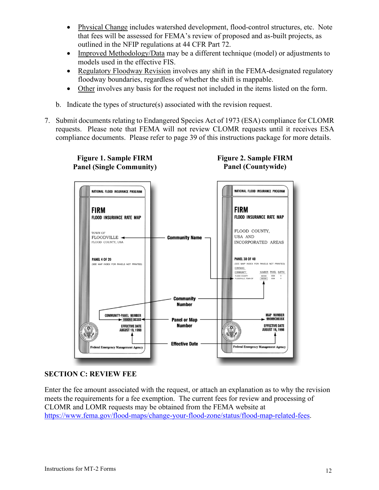- Physical Change includes watershed development, flood-control structures, etc. Note that fees will be assessed for FEMA's review of proposed and as-built projects, as outlined in the NFIP regulations at 44 CFR Part 72.
- Improved Methodology/Data may be a different technique (model) or adjustments to models used in the effective FIS.
- Regulatory Floodway Revision involves any shift in the FEMA-designated regulatory floodway boundaries, regardless of whether the shift is mappable.
- Other involves any basis for the request not included in the items listed on the form.
- b. Indicate the types of structure(s) associated with the revision request.
- 7. Submit documents relating to Endangered Species Act of 1973 (ESA) compliance for CLOMR requests. Please note that FEMA will not review CLOMR requests until it receives ESA compliance documents. Please refer to page [39](#page-38-0) of this instructions package for more details.

<span id="page-11-0"></span>

# **SECTION C: REVIEW FEE**

Enter the fee amount associated with the request, or attach an explanation as to why the revision meets the requirements for a fee exemption. The current fees for review and processing of CLOMR and LOMR requests may be obtained from the FEMA website at [https://www.fema.gov/flood-maps/change-your-flood-zone/status/flood-map-related-fees.](https://www.fema.gov/flood-maps/change-your-flood-zone/status/flood-map-related-fees)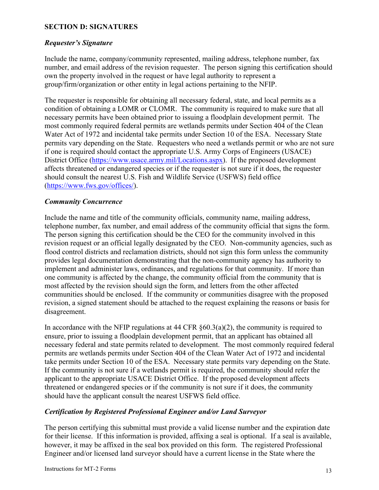## **SECTION D: SIGNATURES**

## *Requester's Signature*

Include the name, company/community represented, mailing address, telephone number, fax number, and email address of the revision requester. The person signing this certification should own the property involved in the request or have legal authority to represent a group/firm/organization or other entity in legal actions pertaining to the NFIP.

The requester is responsible for obtaining all necessary federal, state, and local permits as a condition of obtaining a LOMR or CLOMR. The community is required to make sure that all necessary permits have been obtained prior to issuing a floodplain development permit. The most commonly required federal permits are wetlands permits under Section 404 of the Clean Water Act of 1972 and incidental take permits under Section 10 of the ESA. Necessary State permits vary depending on the State. Requesters who need a wetlands permit or who are not sure if one is required should contact the appropriate U.S. Army Corps of Engineers (USACE) District Office [\(https://www.usace.army.mil/Locations.aspx\)](https://www.usace.army.mil/Locations.aspx). If the proposed development affects threatened or endangered species or if the requester is not sure if it does, the requester should consult the nearest U.S. Fish and Wildlife Service (USFWS) field office [\(https://www.fws.gov/offices/\)](https://www.fws.gov/offices/).

### *Community Concurrence*

Include the name and title of the community officials, community name, mailing address, telephone number, fax number, and email address of the community official that signs the form. The person signing this certification should be the CEO for the community involved in this revision request or an official legally designated by the CEO. Non-community agencies, such as flood control districts and reclamation districts, should not sign this form unless the community provides legal documentation demonstrating that the non-community agency has authority to implement and administer laws, ordinances, and regulations for that community. If more than one community is affected by the change, the community official from the community that is most affected by the revision should sign the form, and letters from the other affected communities should be enclosed. If the community or communities disagree with the proposed revision, a signed statement should be attached to the request explaining the reasons or basis for disagreement.

In accordance with the NFIP regulations at 44 CFR  $\S 60.3(a)(2)$ , the community is required to ensure, prior to issuing a floodplain development permit, that an applicant has obtained all necessary federal and state permits related to development. The most commonly required federal permits are wetlands permits under Section 404 of the Clean Water Act of 1972 and incidental take permits under Section 10 of the ESA. Necessary state permits vary depending on the State. If the community is not sure if a wetlands permit is required, the community should refer the applicant to the appropriate USACE District Office. If the proposed development affects threatened or endangered species or if the community is not sure if it does, the community should have the applicant consult the nearest USFWS field office.

## *Certification by Registered Professional Engineer and/or Land Surveyor*

The person certifying this submittal must provide a valid license number and the expiration date for their license. If this information is provided, affixing a seal is optional. If a seal is available, however, it may be affixed in the seal box provided on this form. The registered Professional Engineer and/or licensed land surveyor should have a current license in the State where the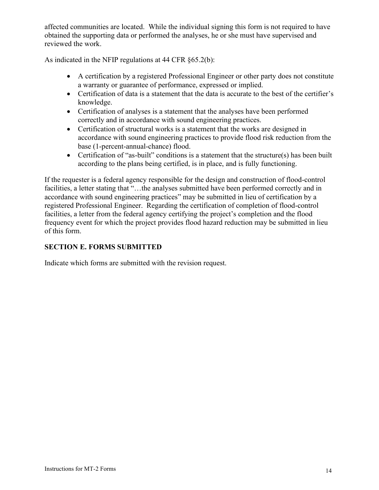affected communities are located. While the individual signing this form is not required to have obtained the supporting data or performed the analyses, he or she must have supervised and reviewed the work.

As indicated in the NFIP regulations at 44 CFR §65.2(b):

- A certification by a registered Professional Engineer or other party does not constitute a warranty or guarantee of performance, expressed or implied.
- Certification of data is a statement that the data is accurate to the best of the certifier's knowledge.
- Certification of analyses is a statement that the analyses have been performed correctly and in accordance with sound engineering practices.
- Certification of structural works is a statement that the works are designed in accordance with sound engineering practices to provide flood risk reduction from the base (1-percent-annual-chance) flood.
- Certification of "as-built" conditions is a statement that the structure(s) has been built according to the plans being certified, is in place, and is fully functioning.

If the requester is a federal agency responsible for the design and construction of flood-control facilities, a letter stating that "...the analyses submitted have been performed correctly and in accordance with sound engineering practices" may be submitted in lieu of certification by a registered Professional Engineer. Regarding the certification of completion of flood-control facilities, a letter from the federal agency certifying the project's completion and the flood frequency event for which the project provides flood hazard reduction may be submitted in lieu of this form.

## **SECTION E. FORMS SUBMITTED**

Indicate which forms are submitted with the revision request.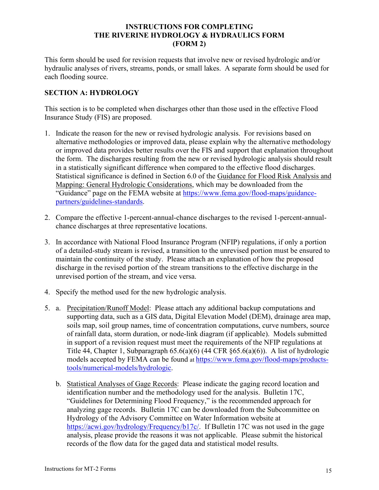### **INSTRUCTIONS FOR COMPLETING THE RIVERINE HYDROLOGY & HYDRAULICS FORM (FORM 2)**

<span id="page-14-0"></span>This form should be used for revision requests that involve new or revised hydrologic and/or hydraulic analyses of rivers, streams, ponds, or small lakes. A separate form should be used for each flooding source.

## **SECTION A: HYDROLOGY**

This section is to be completed when discharges other than those used in the effective Flood Insurance Study (FIS) are proposed.

- 1. Indicate the reason for the new or revised hydrologic analysis. For revisions based on alternative methodologies or improved data, please explain why the alternative methodology or improved data provides better results over the FIS and support that explanation throughout the form. The discharges resulting from the new or revised hydrologic analysis should result in a statistically significant difference when compared to the effective flood discharges. Statistical significance is defined in Section 6.0 of the Guidance for Flood Risk Analysis and Mapping: General Hydrologic Considerations, which may be downloaded from the "Guidance" page on the FEMA website at [https://www.fema.gov/flood-maps/guidance](https://www.fema.gov/flood-maps/guidance-partners/guidelines-standards)[partners/guidelines-standards.](https://www.fema.gov/flood-maps/guidance-partners/guidelines-standards)
- 2. Compare the effective 1-percent-annual-chance discharges to the revised 1-percent-annualchance discharges at three representative locations.
- 3. In accordance with National Flood Insurance Program (NFIP) regulations, if only a portion of a detailed-study stream is revised, a transition to the unrevised portion must be ensured to maintain the continuity of the study. Please attach an explanation of how the proposed discharge in the revised portion of the stream transitions to the effective discharge in the unrevised portion of the stream, and vice versa.
- 4. Specify the method used for the new hydrologic analysis.
- 5. a. Precipitation/Runoff Model: Please attach any additional backup computations and supporting data, such as a GIS data, Digital Elevation Model (DEM), drainage area map, soils map, soil group names, time of concentration computations, curve numbers, source of rainfall data, storm duration, or node-link diagram (if applicable). Models submitted in support of a revision request must meet the requirements of the NFIP regulations at Title 44, Chapter 1, Subparagraph  $65.6(a)(6)$  (44 CFR  $§65.6(a)(6)$ ). A list of hydrologic models accepted by FEMA can be found at [https://www.fema.gov/flood-maps/products](https://www.fema.gov/flood-maps/products-tools/numerical-models/hydrologic)[tools/numerical-models/hydrologic.](https://www.fema.gov/flood-maps/products-tools/numerical-models/hydrologic)
	- b. Statistical Analyses of Gage Records: Please indicate the gaging record location and identification number and the methodology used for the analysis. Bulletin 17C, "Guidelines for Determining Flood Frequency," is the recommended approach for analyzing gage records. Bulletin 17C can be downloaded from the Subcommittee on Hydrology of the Advisory Committee on Water Information website at [https://acwi.gov/hydrology/Frequency/b17c/.](https://acwi.gov/hydrology/Frequency/b17c/) If Bulletin 17C was not used in the gage analysis, please provide the reasons it was not applicable. Please submit the historical records of the flow data for the gaged data and statistical model results.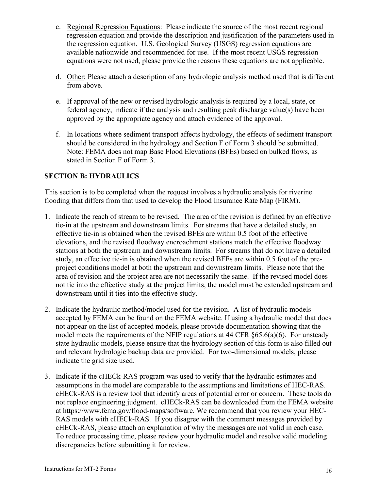- c. Regional Regression Equations: Please indicate the source of the most recent regional regression equation and provide the description and justification of the parameters used in the regression equation. U.S. Geological Survey (USGS) regression equations are available nationwide and recommended for use. If the most recent USGS regression equations were not used, please provide the reasons these equations are not applicable.
- d. Other: Please attach a description of any hydrologic analysis method used that is different from above.
- e. If approval of the new or revised hydrologic analysis is required by a local, state, or federal agency, indicate if the analysis and resulting peak discharge value(s) have been approved by the appropriate agency and attach evidence of the approval.
- f. In locations where sediment transport affects hydrology, the effects of sediment transport should be considered in the hydrology and Section F of Form 3 should be submitted. Note: FEMA does not map Base Flood Elevations (BFEs) based on bulked flows, as stated in Section F of Form 3.

## **SECTION B: HYDRAULICS**

This section is to be completed when the request involves a hydraulic analysis for riverine flooding that differs from that used to develop the Flood Insurance Rate Map (FIRM).

- 1. Indicate the reach of stream to be revised. The area of the revision is defined by an effective tie-in at the upstream and downstream limits. For streams that have a detailed study, an effective tie-in is obtained when the revised BFEs are within 0.5 foot of the effective elevations, and the revised floodway encroachment stations match the effective floodway stations at both the upstream and downstream limits. For streams that do not have a detailed study, an effective tie-in is obtained when the revised BFEs are within 0.5 foot of the preproject conditions model at both the upstream and downstream limits. Please note that the area of revision and the project area are not necessarily the same. If the revised model does not tie into the effective study at the project limits, the model must be extended upstream and downstream until it ties into the effective study.
- 2. Indicate the hydraulic method/model used for the revision. A list of hydraulic models accepted by FEMA can be found on the FEMA website. If using a hydraulic model that does not appear on the list of accepted models, please provide documentation showing that the model meets the requirements of the NFIP regulations at 44 CFR  $\S65.6(a)(6)$ . For unsteady state hydraulic models, please ensure that the hydrology section of this form is also filled out and relevant hydrologic backup data are provided. For two-dimensional models, please indicate the grid size used.
- 3. Indicate if the cHECk-RAS program was used to verify that the hydraulic estimates and assumptions in the model are comparable to the assumptions and limitations of HEC-RAS. cHECk-RAS is a review tool that identify areas of potential error or concern. These tools do not replace engineering judgment. cHECk-RAS can be downloaded from the FEMA website at https://www.fema.gov/flood-maps/software. We recommend that you review your HEC-RAS models with cHECk-RAS. If you disagree with the comment messages provided by cHECk-RAS, please attach an explanation of why the messages are not valid in each case. To reduce processing time, please review your hydraulic model and resolve valid modeling discrepancies before submitting it for review.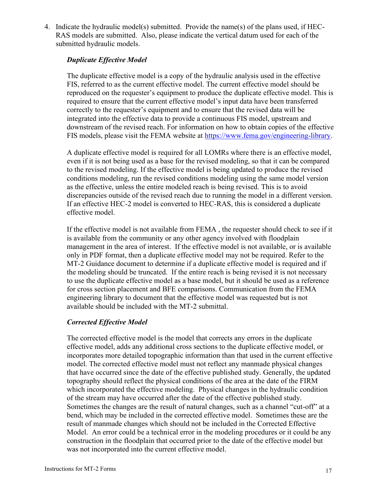4. Indicate the hydraulic model(s) submitted. Provide the name(s) of the plans used, if HEC-RAS models are submitted. Also, please indicate the vertical datum used for each of the submitted hydraulic models.

## *Duplicate Effective Model*

The duplicate effective model is a copy of the hydraulic analysis used in the effective FIS, referred to as the current effective model. The current effective model should be reproduced on the requester's equipment to produce the duplicate effective model. This is required to ensure that the current effective model's input data have been transferred correctly to the requester's equipment and to ensure that the revised data will be integrated into the effective data to provide a continuous FIS model, upstream and downstream of the revised reach. For information on how to obtain copies of the effective FIS models, please visit the FEMA website at [https://www.fema.gov/engineering-library.](https://www.fema.gov/engineering-library)

A duplicate effective model is required for all LOMRs where there is an effective model, even if it is not being used as a base for the revised modeling, so that it can be compared to the revised modeling. If the effective model is being updated to produce the revised conditions modeling, run the revised conditions modeling using the same model version as the effective, unless the entire modeled reach is being revised. This is to avoid discrepancies outside of the revised reach due to running the model in a different version. If an effective HEC-2 model is converted to HEC-RAS, this is considered a duplicate effective model.

If the effective model is not available from FEMA , the requester should check to see if it is available from the community or any other agency involved with floodplain management in the area of interest. If the effective model is not available, or is available only in PDF format, then a duplicate effective model may not be required. Refer to the MT-2 Guidance document to determine if a duplicate effective model is required and if the modeling should be truncated. If the entire reach is being revised it is not necessary to use the duplicate effective model as a base model, but it should be used as a reference for cross section placement and BFE comparisons. Communication from the FEMA engineering library to document that the effective model was requested but is not available should be included with the MT-2 submittal.

# *Corrected Effective Model*

The corrected effective model is the model that corrects any errors in the duplicate effective model, adds any additional cross sections to the duplicate effective model, or incorporates more detailed topographic information than that used in the current effective model. The corrected effective model must not reflect any manmade physical changes that have occurred since the date of the effective published study. Generally, the updated topography should reflect the physical conditions of the area at the date of the FIRM which incorporated the effective modeling. Physical changes in the hydraulic condition of the stream may have occurred after the date of the effective published study. Sometimes the changes are the result of natural changes, such as a channel "cut-off" at a bend, which may be included in the corrected effective model. Sometimes these are the result of manmade changes which should not be included in the Corrected Effective Model. An error could be a technical error in the modeling procedures or it could be any construction in the floodplain that occurred prior to the date of the effective model but was not incorporated into the current effective model.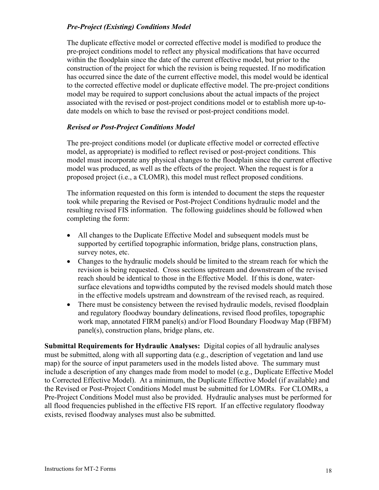## *Pre-Project (Existing) Conditions Model*

The duplicate effective model or corrected effective model is modified to produce the pre-project conditions model to reflect any physical modifications that have occurred within the floodplain since the date of the current effective model, but prior to the construction of the project for which the revision is being requested. If no modification has occurred since the date of the current effective model, this model would be identical to the corrected effective model or duplicate effective model. The pre-project conditions model may be required to support conclusions about the actual impacts of the project associated with the revised or post-project conditions model or to establish more up-todate models on which to base the revised or post-project conditions model.

## *Revised or Post-Project Conditions Model*

The pre-project conditions model (or duplicate effective model or corrected effective model, as appropriate) is modified to reflect revised or post-project conditions. This model must incorporate any physical changes to the floodplain since the current effective model was produced, as well as the effects of the project. When the request is for a proposed project (i.e., a CLOMR), this model must reflect proposed conditions.

The information requested on this form is intended to document the steps the requester took while preparing the Revised or Post-Project Conditions hydraulic model and the resulting revised FIS information. The following guidelines should be followed when completing the form:

- All changes to the Duplicate Effective Model and subsequent models must be supported by certified topographic information, bridge plans, construction plans, survey notes, etc.
- Changes to the hydraulic models should be limited to the stream reach for which the revision is being requested. Cross sections upstream and downstream of the revised reach should be identical to those in the Effective Model. If this is done, watersurface elevations and topwidths computed by the revised models should match those in the effective models upstream and downstream of the revised reach, as required.
- There must be consistency between the revised hydraulic models, revised floodplain and regulatory floodway boundary delineations, revised flood profiles, topographic work map, annotated FIRM panel(s) and/or Flood Boundary Floodway Map (FBFM) panel(s), construction plans, bridge plans, etc.

**Submittal Requirements for Hydraulic Analyses:** Digital copies of all hydraulic analyses must be submitted, along with all supporting data (e.g., description of vegetation and land use map) for the source of input parameters used in the models listed above. The summary must include a description of any changes made from model to model (e.g., Duplicate Effective Model to Corrected Effective Model). At a minimum, the Duplicate Effective Model (if available) and the Revised or Post-Project Conditions Model must be submitted for LOMRs. For CLOMRs, a Pre-Project Conditions Model must also be provided. Hydraulic analyses must be performed for all flood frequencies published in the effective FIS report. If an effective regulatory floodway exists, revised floodway analyses must also be submitted.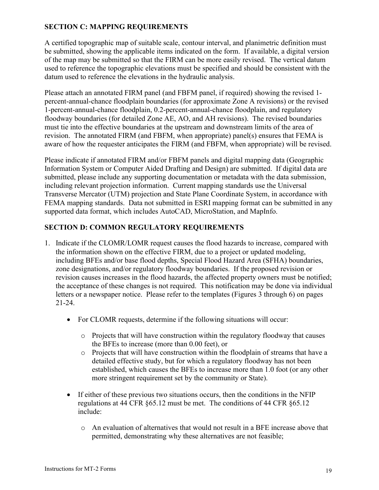# **SECTION C: MAPPING REQUIREMENTS**

A certified topographic map of suitable scale, contour interval, and planimetric definition must be submitted, showing the applicable items indicated on the form. If available, a digital version of the map may be submitted so that the FIRM can be more easily revised. The vertical datum used to reference the topographic elevations must be specified and should be consistent with the datum used to reference the elevations in the hydraulic analysis.

Please attach an annotated FIRM panel (and FBFM panel, if required) showing the revised 1 percent-annual-chance floodplain boundaries (for approximate Zone A revisions) or the revised 1-percent-annual-chance floodplain, 0.2-percent-annual-chance floodplain, and regulatory floodway boundaries (for detailed Zone AE, AO, and AH revisions). The revised boundaries must tie into the effective boundaries at the upstream and downstream limits of the area of revision. The annotated FIRM (and FBFM, when appropriate) panel(s) ensures that FEMA is aware of how the requester anticipates the FIRM (and FBFM, when appropriate) will be revised.

Please indicate if annotated FIRM and/or FBFM panels and digital mapping data (Geographic Information System or Computer Aided Drafting and Design) are submitted. If digital data are submitted, please include any supporting documentation or metadata with the data submission, including relevant projection information. Current mapping standards use the Universal Transverse Mercator (UTM) projection and State Plane Coordinate System, in accordance with FEMA mapping standards. Data not submitted in ESRI mapping format can be submitted in any supported data format, which includes AutoCAD, MicroStation, and MapInfo.

## **SECTION D: COMMON REGULATORY REQUIREMENTS**

- 1. Indicate if the CLOMR/LOMR request causes the flood hazards to increase, compared with the information shown on the effective FIRM, due to a project or updated modeling, including BFEs and/or base flood depths, Special Flood Hazard Area (SFHA) boundaries, zone designations, and/or regulatory floodway boundaries. If the proposed revision or revision causes increases in the flood hazards, the affected property owners must be notified; the acceptance of these changes is not required. This notification may be done via individual letters or a newspaper notice. Please refer to the templates (Figures 3 through 6) on pages 21-24.
	- For CLOMR requests, determine if the following situations will occur:
		- $\circ$  Projects that will have construction within the regulatory floodway that causes the BFEs to increase (more than 0.00 feet), or
		- o Projects that will have construction within the floodplain of streams that have a detailed effective study, but for which a regulatory floodway has not been established, which causes the BFEs to increase more than 1.0 foot (or any other more stringent requirement set by the community or State).
	- If either of these previous two situations occurs, then the conditions in the NFIP regulations at 44 CFR §65.12 must be met. The conditions of 44 CFR §65.12 include:
		- o An evaluation of alternatives that would not result in a BFE increase above that permitted, demonstrating why these alternatives are not feasible;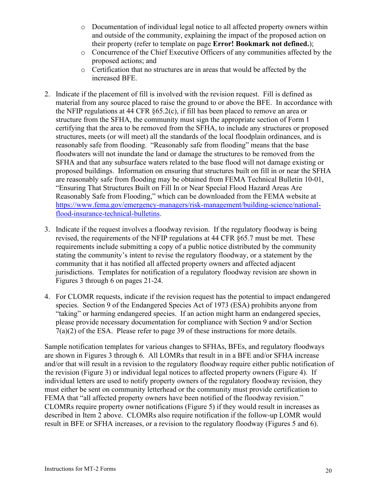- o Documentation of individual legal notice to all affected property owners within and outside of the community, explaining the impact of the proposed action on their property (refer to template on page **Error! Bookmark not defined.**);
- o Concurrence of the Chief Executive Officers of any communities affected by the proposed actions; and
- o Certification that no structures are in areas that would be affected by the increased BFE.
- 2. Indicate if the placement of fill is involved with the revision request. Fill is defined as material from any source placed to raise the ground to or above the BFE. In accordance with the NFIP regulations at 44 CFR §65.2(c), if fill has been placed to remove an area or structure from the SFHA, the community must sign the appropriate section of Form 1 certifying that the area to be removed from the SFHA, to include any structures or proposed structures, meets (or will meet) all the standards of the local floodplain ordinances, and is reasonably safe from flooding. "Reasonably safe from flooding" means that the base floodwaters will not inundate the land or damage the structures to be removed from the SFHA and that any subsurface waters related to the base flood will not damage existing or proposed buildings. Information on ensuring that structures built on fill in or near the SFHA are reasonably safe from flooding may be obtained from FEMA Technical Bulletin 10-01, "Ensuring That Structures Built on Fill In or Near Special Flood Hazard Areas Are Reasonably Safe from Flooding," which can be downloaded from the FEMA website at [https://www.fema.gov/emergency-managers/risk-management/building-science/national](https://www.fema.gov/emergency-managers/risk-management/building-science/national-flood-insurance-technical-bulletins)[flood-insurance-technical-bulletins.](https://www.fema.gov/emergency-managers/risk-management/building-science/national-flood-insurance-technical-bulletins)
- 3. Indicate if the request involves a floodway revision. If the regulatory floodway is being revised, the requirements of the NFIP regulations at 44 CFR §65.7 must be met. These requirements include submitting a copy of a public notice distributed by the community stating the community's intent to revise the regulatory floodway, or a statement by the community that it has notified all affected property owners and affected adjacent jurisdictions. Templates for notification of a regulatory floodway revision are shown in Figures 3 through 6 on pages 21-24.
- 4. For CLOMR requests, indicate if the revision request has the potential to impact endangered species. Section 9 of the Endangered Species Act of 1973 (ESA) prohibits anyone from "taking" or harming endangered species. If an action might harm an endangered species, please provide necessary documentation for compliance with Section 9 and/or Section 7(a)(2) of the ESA. Please refer to page 39 of these instructions for more details.

Sample notification templates for various changes to SFHAs, BFEs, and regulatory floodways are shown in Figures 3 through 6. All LOMRs that result in in a BFE and/or SFHA increase and/or that will result in a revision to the regulatory floodway require either public notification of the revision (Figure 3) or individual legal notices to affected property owners (Figure 4). If individual letters are used to notify property owners of the regulatory floodway revision, they must either be sent on community letterhead or the community must provide certification to FEMA that "all affected property owners have been notified of the floodway revision." CLOMRs require property owner notifications (Figure 5) if they would result in increases as described in Item 2 above. CLOMRs also require notification if the follow-up LOMR would result in BFE or SFHA increases, or a revision to the regulatory floodway (Figures 5 and 6).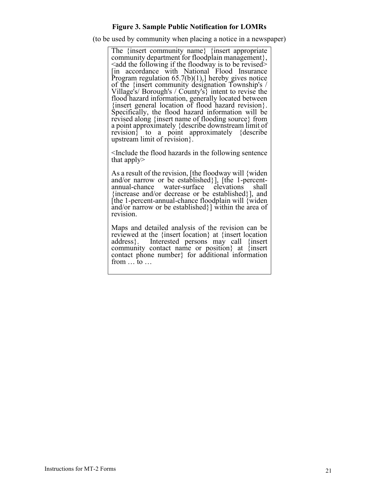### **Figure 3. Sample Public Notification for LOMRs**

(to be used by community when placing a notice in a newspaper)

The {insert community name} {insert appropriate community department for floodplain management},  $\leq$ add the following if the floodway is to be revised $\geq$ [in accordance with National Flood Insurance Program regulation 65.7(b)(1),] hereby gives notice of the {insert community designation Township's / Village's/ Borough's / County's} intent to revise the flood hazard information, generally located between {insert general location of flood hazard revision}. Specifically, the flood hazard information will be revised along {insert name of flooding source} from a point approximately {describe downstream limit of revision} to a point approximately {describe upstream limit of revision}.

<Include the flood hazards in the following sentence that apply>

As a result of the revision, [the floodway will {widen and/or narrow or be established}], [the 1-percent-<br>annual-chance water-surface elevations shall water-surface elevations shall {increase and/or decrease or be established}], and [the 1-percent-annual-chance floodplain will  $\{\text{wide}$ and/or narrow or be established}] within the area of revision.

Maps and detailed analysis of the revision can be reviewed at the {insert location} at {insert location address}. Interested persons may call {insert community contact name or position} at {insert contact phone number} for additional information from … to …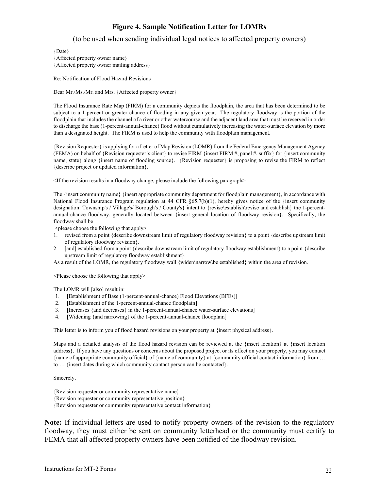## **Figure 4. Sample Notification Letter for LOMRs**

(to be used when sending individual legal notices to affected property owners)

| $\{Date\}$<br>{Affected property owner name}                                                                                                                                                                                                                                                                                                                                                                                                                                                                                                                                                                                                                                                                                                                                                                                                                                                     |
|--------------------------------------------------------------------------------------------------------------------------------------------------------------------------------------------------------------------------------------------------------------------------------------------------------------------------------------------------------------------------------------------------------------------------------------------------------------------------------------------------------------------------------------------------------------------------------------------------------------------------------------------------------------------------------------------------------------------------------------------------------------------------------------------------------------------------------------------------------------------------------------------------|
| {Affected property owner mailing address}                                                                                                                                                                                                                                                                                                                                                                                                                                                                                                                                                                                                                                                                                                                                                                                                                                                        |
| Re: Notification of Flood Hazard Revisions                                                                                                                                                                                                                                                                                                                                                                                                                                                                                                                                                                                                                                                                                                                                                                                                                                                       |
| Dear Mr./Ms./Mr. and Mrs. {Affected property owner}                                                                                                                                                                                                                                                                                                                                                                                                                                                                                                                                                                                                                                                                                                                                                                                                                                              |
| The Flood Insurance Rate Map (FIRM) for a community depicts the floodplain, the area that has been determined to be<br>subject to a 1-percent or greater chance of flooding in any given year. The regulatory floodway is the portion of the<br>floodplain that includes the channel of a river or other watercourse and the adjacent land area that must be reserved in order<br>to discharge the base (1-percent-annual-chance) flood without cumulatively increasing the water-surface elevation by more<br>than a designated height. The FIRM is used to help the community with floodplain management.                                                                                                                                                                                                                                                                                      |
| {Revision Requester} is applying for a Letter of Map Revision (LOMR) from the Federal Emergency Management Agency<br>(FEMA) on behalf of {Revision requester's client} to revise FIRM {insert FIRM #, panel #, suffix} for {insert community<br>name, state} along {insert name of flooding source}. {Revision requester} is proposing to revise the FIRM to reflect<br>{describe project or updated information}.                                                                                                                                                                                                                                                                                                                                                                                                                                                                               |
| <if a="" change,="" floodway="" following="" in="" include="" paragraph="" please="" results="" revision="" the=""></if>                                                                                                                                                                                                                                                                                                                                                                                                                                                                                                                                                                                                                                                                                                                                                                         |
| The {insert community name} {insert appropriate community department for floodplain management}, in accordance with<br>National Flood Insurance Program regulation at 44 CFR $\S 65.7(b)(1)$ , hereby gives notice of the {insert community<br>designation: Township's / Village's/ Borough's / County's} intent to {revise\establish\revise and establish} the 1-percent-<br>annual-chance floodway, generally located between {insert general location of floodway revision}. Specifically, the<br>floodway shall be<br><please apply="" choose="" following="" that="" the=""><br/>revised from a point {describe downstream limit of regulatory floodway revision} to a point {describe upstream limit<br/>1.<br/>of regulatory floodway revision}.<br/>[and] established from a point {describe downstream limit of regulatory floodway establishment} to a point {describe<br/>2.</please> |
| upstream limit of regulatory floodway establishment}.<br>As a result of the LOMR, the regulatory floodway wall {widen\narrow\be established} within the area of revision.                                                                                                                                                                                                                                                                                                                                                                                                                                                                                                                                                                                                                                                                                                                        |
| <please apply="" choose="" following="" that="" the=""></please>                                                                                                                                                                                                                                                                                                                                                                                                                                                                                                                                                                                                                                                                                                                                                                                                                                 |
| The LOMR will [also] result in:<br>[Establishment of Base (1-percent-annual-chance) Flood Elevations (BFEs)]<br>1.<br>[Establishment of the 1-percent-annual-chance floodplain]<br>2.<br>3.<br>[Increases {and decreases} in the 1-percent-annual-chance water-surface elevations]<br>[Widening {and narrowing} of the 1-percent-annual-chance floodplain]<br>4.                                                                                                                                                                                                                                                                                                                                                                                                                                                                                                                                 |
| This letter is to inform you of flood hazard revisions on your property at {insert physical address}.                                                                                                                                                                                                                                                                                                                                                                                                                                                                                                                                                                                                                                                                                                                                                                                            |
| Maps and a detailed analysis of the flood hazard revision can be reviewed at the {insert location} at {insert location<br>address}. If you have any questions or concerns about the proposed project or its effect on your property, you may contact<br>{name of appropriate community official} of {name of community} at {community official contact information} from<br>to  {insert dates during which community contact person can be contacted}.                                                                                                                                                                                                                                                                                                                                                                                                                                           |
| Sincerely,                                                                                                                                                                                                                                                                                                                                                                                                                                                                                                                                                                                                                                                                                                                                                                                                                                                                                       |
| {Revision requester or community representative name}<br>{Revision requester or community representative position}<br>{Revision requester or community representative contact information}                                                                                                                                                                                                                                                                                                                                                                                                                                                                                                                                                                                                                                                                                                       |
|                                                                                                                                                                                                                                                                                                                                                                                                                                                                                                                                                                                                                                                                                                                                                                                                                                                                                                  |

**Note:** If individual letters are used to notify property owners of the revision to the regulatory floodway, they must either be sent on community letterhead or the community must certify to FEMA that all affected property owners have been notified of the floodway revision.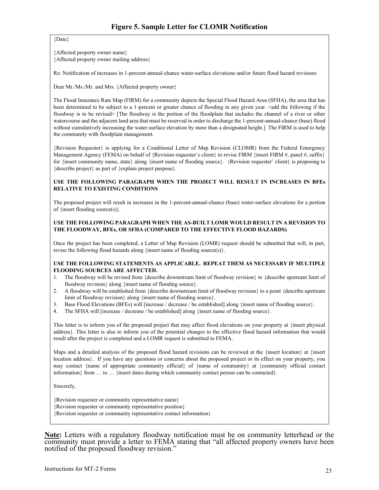{Date}

{Affected property owner name} {Affected property owner mailing address}

Re: Notification of increases in 1-percent-annual-chance water-surface elevations and/or future flood hazard revisions

Dear Mr./Ms./Mr. and Mrs. {Affected property owner}

The Flood Insurance Rate Map (FIRM) for a community depicts the Special Flood Hazard Area (SFHA), the area that has been determined to be subject to a 1-percent or greater chance of flooding in any given year. <add the following if the floodway is to be revised> [The floodway is the portion of the floodplain that includes the channel of a river or other watercourse and the adjacent land area that must be reserved in order to discharge the 1-percent-annual-chance (base) flood without cumulatively increasing the water-surface elevation by more than a designated height.] The FIRM is used to help the community with floodplain management.

{Revision Requester} is applying for a Conditional Letter of Map Revision (CLOMR) from the Federal Emergency Management Agency (FEMA) on behalf of {Revision requester's client} to revise FIRM {insert FIRM #, panel #, suffix} for {insert community name, state} along {insert name of flooding source}. {Revision requester' client} is proposing to {describe project} as part of {explain project purpose}.

#### **USE THE FOLLOWING PARAGRAPH WHEN THE PROJECT WILL RESULT IN INCREASES IN BFEs RELATIVE TO EXISTING CONDITIONS**

The proposed project will result in increases in the 1-percent-annual-chance (base) water-surface elevations for a portion of {insert flooding source(s)}.

#### **USE THE FOLLOWING PARAGRAPH WHEN THE AS-BUILT LOMR WOULD RESULT IN A REVISION TO THE FLOODWAY, BFEs, OR SFHA (COMPARED TO THE EFFECTIVE FLOOD HAZARDS)**

Once the project has been completed, a Letter of Map Revision (LOMR) request should be submitted that will, in part, revise the following flood hazards along {insert name of flooding source(s)}.

#### **USE THE FOLLOWING STATEMENTS AS APPLICABLE. REPEAT THEM AS NECESSARY IF MULTIPLE FLOODING SOURCES ARE AFFECTED.**

- 1. The floodway will be revised from {describe downstream limit of floodway revision} to {describe upstream limit of floodway revision} along {insert name of flooding source}.
- 2. A floodway will be established from {describe downstream limit of floodway revision} to a point {describe upstream limit of floodway revision} along {insert name of flooding source}.
- 3. Base Flood Elevations (BFEs) will [increase / decrease / be established] along {insert name of flooding source}.
- 4. The SFHA will [increase / decrease / be established] along {insert name of flooding source}.

This letter is to inform you of the proposed project that may affect flood elevations on your property at {insert physical address}. This letter is also to inform you of the potential changes to the effective flood hazard information that would result after the project is completed and a LOMR request is submitted to FEMA.

Maps and a detailed analysis of the proposed flood hazard revisions can be reviewed at the {insert location} at {insert location address}. If you have any questions or concerns about the proposed project or its effect on your property, you may contact {name of appropriate community official} of {name of community} at {community official contact information} from ... to ... {insert dates during which community contact person can be contacted}.

Sincerely,

{Revision requester or community representative name} {Revision requester or community representative position} {Revision requester or community representative contact information}

**Note:** Letters with a regulatory floodway notification must be on community letterhead or the community must provide a letter to FEMA stating that "all affected property owners have been notified of the proposed floodway revision."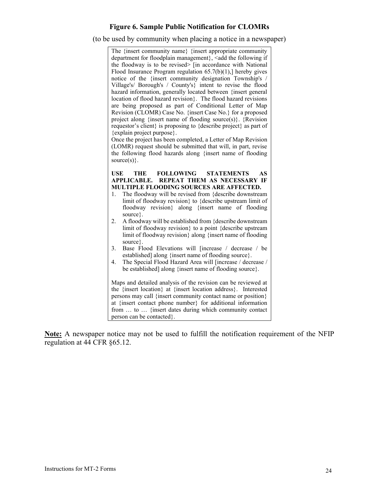### **Figure 6. Sample Public Notification for CLOMRs**

(to be used by community when placing a notice in a newspaper)

| The {insert community name} {insert appropriate community                           |
|-------------------------------------------------------------------------------------|
| department for floodplain management}, <add following="" if<="" td="" the=""></add> |
| the floodway is to be revised> [in accordance with National                         |
| Flood Insurance Program regulation $65.7(b)(1)$ , hereby gives                      |
| notice of the {insert community designation Township's /                            |
| Village's/ Borough's / County's} intent to revise the flood                         |
| hazard information, generally located between {insert general                       |
| location of flood hazard revision}. The flood hazard revisions                      |
| are being proposed as part of Conditional Letter of Map                             |
| Revision (CLOMR) Case No. {insert Case No.} for a proposed                          |
| project along {insert name of flooding source(s)}. {Revision                        |
| requestor's client} is proposing to {describe project} as part of                   |
| {explain project purpose}.                                                          |
| Once the project has been completed, a Letter of Map Revision                       |
| (I OMR) request should be submitted that will in part revise                        |

(LOMR) request should be submitted that will, in part, revise the following flood hazards along {insert name of flooding source $(s)$ .

#### **USE THE FOLLOWING STATEMENTS AS APPLICABLE. REPEAT THEM AS NECESSARY IF MULTIPLE FLOODING SOURCES ARE AFFECTED.**

- 1. The floodway will be revised from {describe downstream limit of floodway revision} to {describe upstream limit of floodway revision} along {insert name of flooding source}.
- 2. A floodway will be established from {describe downstream limit of floodway revision} to a point {describe upstream limit of floodway revision} along {insert name of flooding source}.
- 3. Base Flood Elevations will [increase / decrease / be established] along {insert name of flooding source}.
- 4. The Special Flood Hazard Area will [increase / decrease / be established] along {insert name of flooding source}.

Maps and detailed analysis of the revision can be reviewed at the {insert location} at {insert location address}. Interested persons may call {insert community contact name or position} at {insert contact phone number} for additional information from … to … {insert dates during which community contact person can be contacted}.

**Note:** A newspaper notice may not be used to fulfill the notification requirement of the NFIP regulation at 44 CFR §65.12.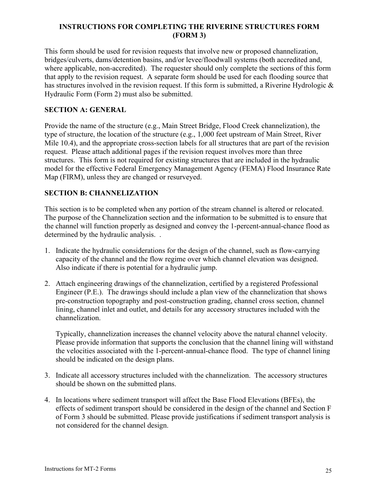## <span id="page-24-0"></span>**INSTRUCTIONS FOR COMPLETING THE RIVERINE STRUCTURES FORM (FORM 3)**

This form should be used for revision requests that involve new or proposed channelization, bridges/culverts, dams/detention basins, and/or levee/floodwall systems (both accredited and, where applicable, non-accredited). The requester should only complete the sections of this form that apply to the revision request. A separate form should be used for each flooding source that has structures involved in the revision request. If this form is submitted, a Riverine Hydrologic & Hydraulic Form (Form 2) must also be submitted.

## **SECTION A: GENERAL**

Provide the name of the structure (e.g., Main Street Bridge, Flood Creek channelization), the type of structure, the location of the structure (e.g., 1,000 feet upstream of Main Street, River Mile 10.4), and the appropriate cross-section labels for all structures that are part of the revision request. Please attach additional pages if the revision request involves more than three structures. This form is not required for existing structures that are included in the hydraulic model for the effective Federal Emergency Management Agency (FEMA) Flood Insurance Rate Map (FIRM), unless they are changed or resurveyed.

### **SECTION B: CHANNELIZATION**

This section is to be completed when any portion of the stream channel is altered or relocated. The purpose of the Channelization section and the information to be submitted is to ensure that the channel will function properly as designed and convey the 1-percent-annual-chance flood as determined by the hydraulic analysis. .

- 1. Indicate the hydraulic considerations for the design of the channel, such as flow-carrying capacity of the channel and the flow regime over which channel elevation was designed. Also indicate if there is potential for a hydraulic jump.
- 2. Attach engineering drawings of the channelization, certified by a registered Professional Engineer (P.E.). The drawings should include a plan view of the channelization that shows pre-construction topography and post-construction grading, channel cross section, channel lining, channel inlet and outlet, and details for any accessory structures included with the channelization.

Typically, channelization increases the channel velocity above the natural channel velocity. Please provide information that supports the conclusion that the channel lining will withstand the velocities associated with the 1-percent-annual-chance flood. The type of channel lining should be indicated on the design plans.

- 3. Indicate all accessory structures included with the channelization. The accessory structures should be shown on the submitted plans.
- 4. In locations where sediment transport will affect the Base Flood Elevations (BFEs), the effects of sediment transport should be considered in the design of the channel and Section F of Form 3 should be submitted. Please provide justifications if sediment transport analysis is not considered for the channel design.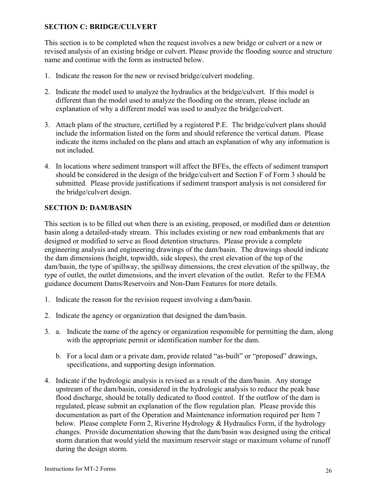## **SECTION C: BRIDGE/CULVERT**

This section is to be completed when the request involves a new bridge or culvert or a new or revised analysis of an existing bridge or culvert. Please provide the flooding source and structure name and continue with the form as instructed below.

- 1. Indicate the reason for the new or revised bridge/culvert modeling.
- 2. Indicate the model used to analyze the hydraulics at the bridge/culvert. If this model is different than the model used to analyze the flooding on the stream, please include an explanation of why a different model was used to analyze the bridge/culvert.
- 3. Attach plans of the structure, certified by a registered P.E. The bridge/culvert plans should include the information listed on the form and should reference the vertical datum. Please indicate the items included on the plans and attach an explanation of why any information is not included.
- 4. In locations where sediment transport will affect the BFEs, the effects of sediment transport should be considered in the design of the bridge/culvert and Section F of Form 3 should be submitted. Please provide justifications if sediment transport analysis is not considered for the bridge/culvert design.

## **SECTION D: DAM/BASIN**

This section is to be filled out when there is an existing, proposed, or modified dam or detention basin along a detailed-study stream. This includes existing or new road embankments that are designed or modified to serve as flood detention structures. Please provide a complete engineering analysis and engineering drawings of the dam/basin. The drawings should indicate the dam dimensions (height, topwidth, side slopes), the crest elevation of the top of the dam/basin, the type of spillway, the spillway dimensions, the crest elevation of the spillway, the type of outlet, the outlet dimensions, and the invert elevation of the outlet. Refer to the FEMA guidance document Dams/Reservoirs and Non-Dam Features for more details.

- 1. Indicate the reason for the revision request involving a dam/basin.
- 2. Indicate the agency or organization that designed the dam/basin.
- 3. a. Indicate the name of the agency or organization responsible for permitting the dam, along with the appropriate permit or identification number for the dam.
	- b. For a local dam or a private dam, provide related "as-built" or "proposed" drawings, specifications, and supporting design information.
- 4. Indicate if the hydrologic analysis is revised as a result of the dam/basin. Any storage upstream of the dam/basin, considered in the hydrologic analysis to reduce the peak base flood discharge, should be totally dedicated to flood control. If the outflow of the dam is regulated, please submit an explanation of the flow regulation plan. Please provide this documentation as part of the Operation and Maintenance information required per Item 7 below. Please complete Form 2, Riverine Hydrology & Hydraulics Form, if the hydrology changes. Provide documentation showing that the dam/basin was designed using the critical storm duration that would yield the maximum reservoir stage or maximum volume of runoff during the design storm.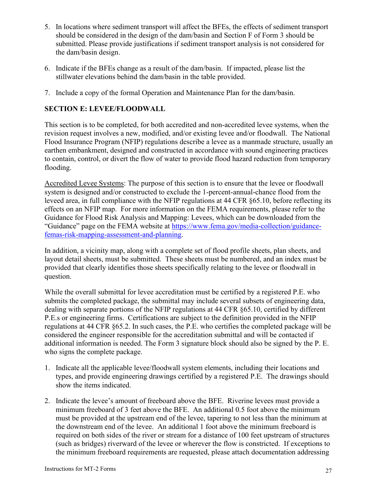- 5. In locations where sediment transport will affect the BFEs, the effects of sediment transport should be considered in the design of the dam/basin and Section F of Form 3 should be submitted. Please provide justifications if sediment transport analysis is not considered for the dam/basin design.
- 6. Indicate if the BFEs change as a result of the dam/basin. If impacted, please list the stillwater elevations behind the dam/basin in the table provided.
- 7. Include a copy of the formal Operation and Maintenance Plan for the dam/basin.

# **SECTION E: LEVEE/FLOODWALL**

This section is to be completed, for both accredited and non-accredited levee systems, when the revision request involves a new, modified, and/or existing levee and/or floodwall. The National Flood Insurance Program (NFIP) regulations describe a levee as a manmade structure, usually an earthen embankment, designed and constructed in accordance with sound engineering practices to contain, control, or divert the flow of water to provide flood hazard reduction from temporary flooding.

Accredited Levee Systems: The purpose of this section is to ensure that the levee or floodwall system is designed and/or constructed to exclude the 1-percent-annual-chance flood from the leveed area, in full compliance with the NFIP regulations at 44 CFR §65.10, before reflecting its effects on an NFIP map. For more information on the FEMA requirements, please refer to the Guidance for Flood Risk Analysis and Mapping: Levees, which can be downloaded from the "Guidance" page on the FEMA website at [https://www.fema.gov/media-collection/guidance](https://www.fema.gov/media-collection/guidance-femas-risk-mapping-assessment-and-planning)[femas-risk-mapping-assessment-and-planning.](https://www.fema.gov/media-collection/guidance-femas-risk-mapping-assessment-and-planning)

In addition, a vicinity map, along with a complete set of flood profile sheets, plan sheets, and layout detail sheets, must be submitted. These sheets must be numbered, and an index must be provided that clearly identifies those sheets specifically relating to the levee or floodwall in question.

While the overall submittal for levee accreditation must be certified by a registered P.E. who submits the completed package, the submittal may include several subsets of engineering data, dealing with separate portions of the NFIP regulations at 44 CFR §65.10, certified by different P.E.s or engineering firms. Certifications are subject to the definition provided in the NFIP regulations at 44 CFR §65.2. In such cases, the P.E. who certifies the completed package will be considered the engineer responsible for the accreditation submittal and will be contacted if additional information is needed. The Form 3 signature block should also be signed by the P. E. who signs the complete package.

- 1. Indicate all the applicable levee/floodwall system elements, including their locations and types, and provide engineering drawings certified by a registered P.E. The drawings should show the items indicated.
- 2. Indicate the levee's amount of freeboard above the BFE. Riverine levees must provide a minimum freeboard of 3 feet above the BFE. An additional 0.5 foot above the minimum must be provided at the upstream end of the levee, tapering to not less than the minimum at the downstream end of the levee. An additional 1 foot above the minimum freeboard is required on both sides of the river or stream for a distance of 100 feet upstream of structures (such as bridges) riverward of the levee or wherever the flow is constricted. If exceptions to the minimum freeboard requirements are requested, please attach documentation addressing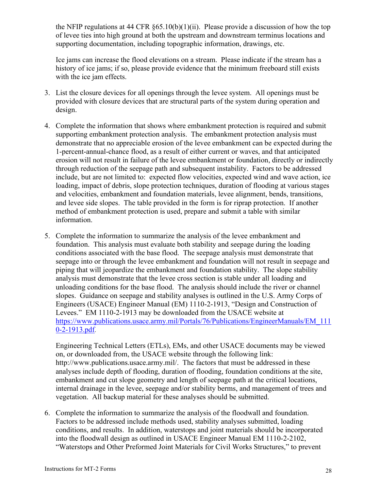the NFIP regulations at 44 CFR  $\frac{65.10(b)(1)(ii)}{2}$ . Please provide a discussion of how the top of levee ties into high ground at both the upstream and downstream terminus locations and supporting documentation, including topographic information, drawings, etc.

Ice jams can increase the flood elevations on a stream. Please indicate if the stream has a history of ice jams; if so, please provide evidence that the minimum freeboard still exists with the ice jam effects.

- 3. List the closure devices for all openings through the levee system. All openings must be provided with closure devices that are structural parts of the system during operation and design.
- 4. Complete the information that shows where embankment protection is required and submit supporting embankment protection analysis. The embankment protection analysis must demonstrate that no appreciable erosion of the levee embankment can be expected during the 1-percent-annual-chance flood, as a result of either current or waves, and that anticipated erosion will not result in failure of the levee embankment or foundation, directly or indirectly through reduction of the seepage path and subsequent instability. Factors to be addressed include, but are not limited to: expected flow velocities, expected wind and wave action, ice loading, impact of debris, slope protection techniques, duration of flooding at various stages and velocities, embankment and foundation materials, levee alignment, bends, transitions, and levee side slopes. The table provided in the form is for riprap protection. If another method of embankment protection is used, prepare and submit a table with similar information.
- 5. Complete the information to summarize the analysis of the levee embankment and foundation. This analysis must evaluate both stability and seepage during the loading conditions associated with the base flood. The seepage analysis must demonstrate that seepage into or through the levee embankment and foundation will not result in seepage and piping that will jeopardize the embankment and foundation stability. The slope stability analysis must demonstrate that the levee cross section is stable under all loading and unloading conditions for the base flood. The analysis should include the river or channel slopes. Guidance on seepage and stability analyses is outlined in the U.S. Army Corps of Engineers (USACE) Engineer Manual (EM) 1110-2-1913, "Design and Construction of Levees." EM 1110-2-1913 may be downloaded from the USACE website at [https://www.publications.usace.army.mil/Portals/76/Publications/EngineerManuals/EM\\_111](https://www.publications.usace.army.mil/Portals/76/Publications/EngineerManuals/EM_1110-2-1913.pdf) [0-2-1913.pdf](https://www.publications.usace.army.mil/Portals/76/Publications/EngineerManuals/EM_1110-2-1913.pdf).

Engineering Technical Letters (ETLs), EMs, and other USACE documents may be viewed on, or downloaded from, the USACE website through the following link: [http://www.publications.usace.army.mil/.](http://www.publications.usace.army.mil/) The factors that must be addressed in these analyses include depth of flooding, duration of flooding, foundation conditions at the site, embankment and cut slope geometry and length of seepage path at the critical locations, internal drainage in the levee, seepage and/or stability berms, and management of trees and vegetation. All backup material for these analyses should be submitted.

6. Complete the information to summarize the analysis of the floodwall and foundation. Factors to be addressed include methods used, stability analyses submitted, loading conditions, and results. In addition, waterstops and joint materials should be incorporated into the floodwall design as outlined in USACE Engineer Manual EM 1110-2-2102, "Waterstops and Other Preformed Joint Materials for Civil Works Structures," to prevent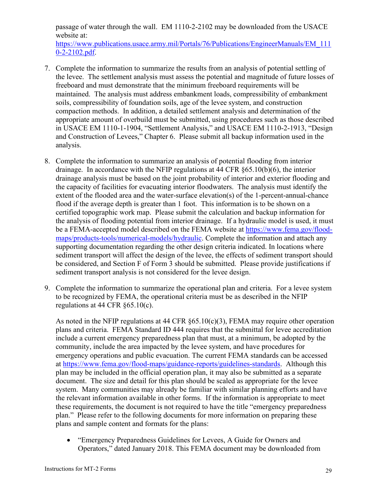passage of water through the wall. EM 1110-2-2102 may be downloaded from the USACE website at:

https://www.publications.usace.army.mil/Portals/76/Publications/EngineerManuals/EM 111 [0-2-2102.pdf.](https://www.publications.usace.army.mil/Portals/76/Publications/EngineerManuals/EM_1110-2-2102.pdf)

- 7. Complete the information to summarize the results from an analysis of potential settling of the levee. The settlement analysis must assess the potential and magnitude of future losses of freeboard and must demonstrate that the minimum freeboard requirements will be maintained. The analysis must address embankment loads, compressibility of embankment soils, compressibility of foundation soils, age of the levee system, and construction compaction methods. In addition, a detailed settlement analysis and determination of the appropriate amount of overbuild must be submitted, using procedures such as those described in USACE EM 1110-1-1904, "Settlement Analysis," and USACE EM 1110-2-1913, "Design and Construction of Levees," Chapter 6. Please submit all backup information used in the analysis.
- 8. Complete the information to summarize an analysis of potential flooding from interior drainage. In accordance with the NFIP regulations at 44 CFR §65.10(b)(6), the interior drainage analysis must be based on the joint probability of interior and exterior flooding and the capacity of facilities for evacuating interior floodwaters. The analysis must identify the extent of the flooded area and the water-surface elevation(s) of the 1-percent-annual-chance flood if the average depth is greater than 1 foot. This information is to be shown on a certified topographic work map. Please submit the calculation and backup information for the analysis of flooding potential from interior drainage. If a hydraulic model is used, it must be a FEMA-accepted model described on the FEMA website at [https://www.fema.gov/flood](https://www.fema.gov/flood-maps/products-tools/numerical-models/hydraulic)[maps/products-tools/numerical-models/hydraulic.](https://www.fema.gov/flood-maps/products-tools/numerical-models/hydraulic) Complete the information and attach any supporting documentation regarding the other design criteria indicated. In locations where sediment transport will affect the design of the levee, the effects of sediment transport should be considered, and Section F of Form 3 should be submitted. Please provide justifications if sediment transport analysis is not considered for the levee design.
- 9. Complete the information to summarize the operational plan and criteria. For a levee system to be recognized by FEMA, the operational criteria must be as described in the NFIP regulations at 44 CFR §65.10(c).

As noted in the NFIP regulations at 44 CFR §65.10(c)(3), FEMA may require other operation plans and criteria. FEMA Standard ID 444 requires that the submittal for levee accreditation include a current emergency preparedness plan that must, at a minimum, be adopted by the community, include the area impacted by the levee system, and have procedures for emergency operations and public evacuation. The current FEMA standards can be accessed at [https://www.fema.gov/flood-maps/guidance-reports/guidelines-standards.](https://www.fema.gov/flood-maps/guidance-reports/guidelines-standards) Although this plan may be included in the official operation plan, it may also be submitted as a separate document. The size and detail for this plan should be scaled as appropriate for the levee system. Many communities may already be familiar with similar planning efforts and have the relevant information available in other forms. If the information is appropriate to meet these requirements, the document is not required to have the title "emergency preparedness plan." Please refer to the following documents for more information on preparing these plans and sample content and formats for the plans:

• "Emergency Preparedness Guidelines for Levees, A Guide for Owners and Operators," dated January 2018. This FEMA document may be downloaded from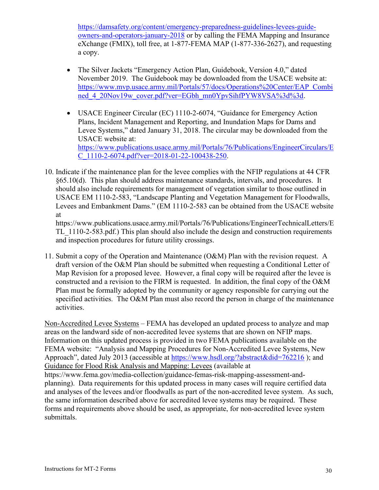[https://damsafety.org/content/emergency-preparedness-guidelines-levees-guide](https://damsafety.org/content/emergency-preparedness-guidelines-levees-guide-owners-and-operators-january-2018)[owners-and-operators-january-2018](https://damsafety.org/content/emergency-preparedness-guidelines-levees-guide-owners-and-operators-january-2018) or by calling the FEMA Mapping and Insurance eXchange (FMIX), toll free, at 1-877-FEMA MAP (1-877-336-2627), and requesting a copy.

- The Silver Jackets "Emergency Action Plan, Guidebook, Version 4.0," dated November 2019. The Guidebook may be downloaded from the USACE website at: [https://www.mvp.usace.army.mil/Portals/57/docs/Operations%20Center/EAP\\_Combi](https://www.mvp.usace.army.mil/Portals/57/docs/Operations%20Center/EAP_Combined_4_20Nov19w_cover.pdf?ver=EGbh_mn0YpvSihfPYW8VSA%3d%3d) ned 4 20Nov19w cover.pdf?ver=EGbh\_mn0YpvSihfPYW8VSA%3d%3d.
- USACE Engineer Circular (EC) 1110-2-6074, "Guidance for Emergency Action Plans, Incident Management and Reporting, and Inundation Maps for Dams and Levee Systems," dated January 31, 2018. The circular may be downloaded from the USACE website at: [https://www.publications.usace.army.mil/Portals/76/Publications/EngineerCirculars/E](https://www.publications.usace.army.mil/Portals/76/Publications/EngineerCirculars/EC_1110-2-6074.pdf?ver=2018-01-22-100438-250) [C\\_1110-2-6074.pdf?ver=2018-01-22-100438-250.](https://www.publications.usace.army.mil/Portals/76/Publications/EngineerCirculars/EC_1110-2-6074.pdf?ver=2018-01-22-100438-250)
- 10. Indicate if the maintenance plan for the levee complies with the NFIP regulations at 44 CFR §65.10(d). This plan should address maintenance standards, intervals, and procedures. It should also include requirements for management of vegetation similar to those outlined in USACE EM 1110-2-583, "Landscape Planting and Vegetation Management for Floodwalls, Levees and Embankment Dams." (EM 1110-2-583 can be obtained from the USACE website at

[https://www.publications.usace.army.mil/Portals/76/Publications/EngineerTechnicalLetters/E](https://www.publications.usace.army.mil/Portals/76/Publications/EngineerTechnicalLetters/ETL_1110-2-583.pdf) [TL\\_1110-2-583.pdf.](https://www.publications.usace.army.mil/Portals/76/Publications/EngineerTechnicalLetters/ETL_1110-2-583.pdf)) This plan should also include the design and construction requirements and inspection procedures for future utility crossings.

11. Submit a copy of the Operation and Maintenance (O&M) Plan with the revision request. A draft version of the O&M Plan should be submitted when requesting a Conditional Letter of Map Revision for a proposed levee. However, a final copy will be required after the levee is constructed and a revision to the FIRM is requested. In addition, the final copy of the O&M Plan must be formally adopted by the community or agency responsible for carrying out the specified activities. The O&M Plan must also record the person in charge of the maintenance activities.

Non-Accredited Levee Systems – FEMA has developed an updated process to analyze and map areas on the landward side of non-accredited levee systems that are shown on NFIP maps. Information on this updated process is provided in two FEMA publications available on the FEMA website: "Analysis and Mapping Procedures for Non-Accredited Levee Systems, New Approach", dated July 2013 (accessible at [https://www.hsdl.org/?abstract&did=762216](https://www.hsdl.org/?abstract&did=762216%20) ); and Guidance for Flood Risk Analysis and Mapping: Levees (available at https://www.fema.gov/media-collection/guidance-femas-risk-mapping-assessment-andplanning). Data requirements for this updated process in many cases will require certified data and analyses of the levees and/or floodwalls as part of the non-accredited levee system. As such, the same information described above for accredited levee systems may be required. These forms and requirements above should be used, as appropriate, for non-accredited levee system submittals.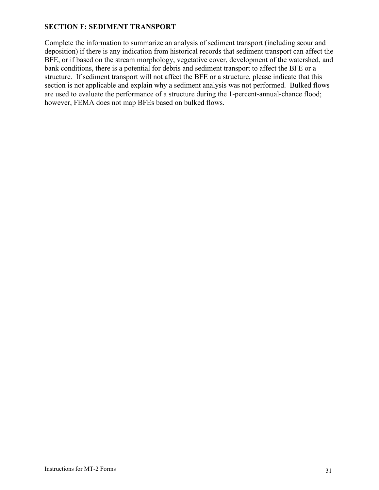## **SECTION F: SEDIMENT TRANSPORT**

Complete the information to summarize an analysis of sediment transport (including scour and deposition) if there is any indication from historical records that sediment transport can affect the BFE, or if based on the stream morphology, vegetative cover, development of the watershed, and bank conditions, there is a potential for debris and sediment transport to affect the BFE or a structure. If sediment transport will not affect the BFE or a structure, please indicate that this section is not applicable and explain why a sediment analysis was not performed. Bulked flows are used to evaluate the performance of a structure during the 1-percent-annual-chance flood; however, FEMA does not map BFEs based on bulked flows.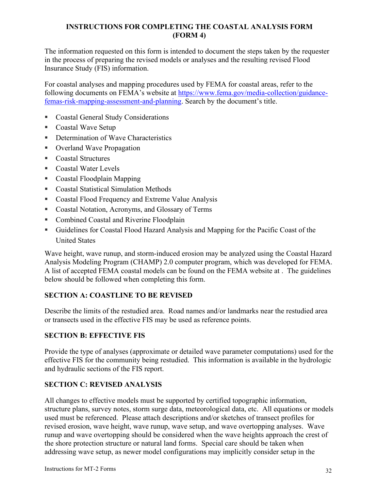## <span id="page-31-0"></span>**INSTRUCTIONS FOR COMPLETING THE COASTAL ANALYSIS FORM (FORM 4)**

The information requested on this form is intended to document the steps taken by the requester in the process of preparing the revised models or analyses and the resulting revised Flood Insurance Study (FIS) information.

For coastal analyses and mapping procedures used by FEMA for coastal areas, refer to the following documents on FEMA's website at [https://www.fema.gov/media-collection/guidance](https://www.fema.gov/media-collection/guidance-femas-risk-mapping-assessment-and-planning)[femas-risk-mapping-assessment-and-planning](https://www.fema.gov/media-collection/guidance-femas-risk-mapping-assessment-and-planning). Search by the document's title.

- Coastal General Study Considerations
- Coastal Wave Setup
- **EXECUTE:** Determination of Wave Characteristics
- Overland Wave Propagation
- Coastal Structures
- Coastal Water Levels
- Coastal Floodplain Mapping
- Coastal Statistical Simulation Methods
- Coastal Flood Frequency and Extreme Value Analysis
- Coastal Notation, Acronyms, and Glossary of Terms
- Combined Coastal and Riverine Floodplain
- Guidelines for Coastal Flood Hazard Analysis and Mapping for the Pacific Coast of the United States

Wave height, wave runup, and storm-induced erosion may be analyzed using the Coastal Hazard Analysis Modeling Program (CHAMP) 2.0 computer program, which was developed for FEMA. A list of accepted FEMA coastal models can be found on the FEMA website at . The guidelines below should be followed when completing this form.

## **SECTION A: COASTLINE TO BE REVISED**

Describe the limits of the restudied area. Road names and/or landmarks near the restudied area or transects used in the effective FIS may be used as reference points.

## **SECTION B: EFFECTIVE FIS**

Provide the type of analyses (approximate or detailed wave parameter computations) used for the effective FIS for the community being restudied. This information is available in the hydrologic and hydraulic sections of the FIS report.

# **SECTION C: REVISED ANALYSIS**

All changes to effective models must be supported by certified topographic information, structure plans, survey notes, storm surge data, meteorological data, etc. All equations or models used must be referenced. Please attach descriptions and/or sketches of transect profiles for revised erosion, wave height, wave runup, wave setup, and wave overtopping analyses. Wave runup and wave overtopping should be considered when the wave heights approach the crest of the shore protection structure or natural land forms. Special care should be taken when addressing wave setup, as newer model configurations may implicitly consider setup in the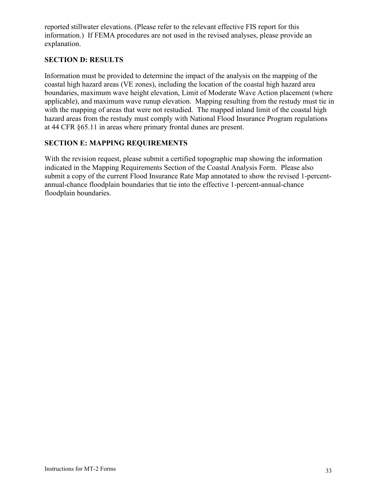reported stillwater elevations. (Please refer to the relevant effective FIS report for this information.) If FEMA procedures are not used in the revised analyses, please provide an explanation.

## **SECTION D: RESULTS**

Information must be provided to determine the impact of the analysis on the mapping of the coastal high hazard areas (VE zones), including the location of the coastal high hazard area boundaries, maximum wave height elevation, Limit of Moderate Wave Action placement (where applicable), and maximum wave runup elevation. Mapping resulting from the restudy must tie in with the mapping of areas that were not restudied. The mapped inland limit of the coastal high hazard areas from the restudy must comply with National Flood Insurance Program regulations at 44 CFR §65.11 in areas where primary frontal dunes are present.

### **SECTION E: MAPPING REQUIREMENTS**

With the revision request, please submit a certified topographic map showing the information indicated in the Mapping Requirements Section of the Coastal Analysis Form. Please also submit a copy of the current Flood Insurance Rate Map annotated to show the revised 1-percentannual-chance floodplain boundaries that tie into the effective 1-percent-annual-chance floodplain boundaries.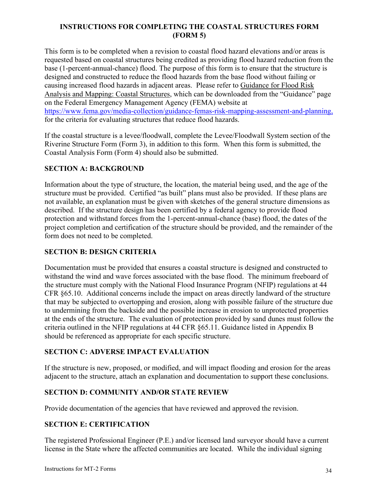## <span id="page-33-0"></span>**INSTRUCTIONS FOR COMPLETING THE COASTAL STRUCTURES FORM (FORM 5)**

This form is to be completed when a revision to coastal flood hazard elevations and/or areas is requested based on coastal structures being credited as providing flood hazard reduction from the base (1-percent-annual-chance) flood. The purpose of this form is to ensure that the structure is designed and constructed to reduce the flood hazards from the base flood without failing or causing increased flood hazards in adjacent areas. Please refer to Guidance for Flood Risk Analysis and Mapping: Coastal Structures, which can be downloaded from the "Guidance" page on the Federal Emergency Management Agency (FEMA) website at [https://www.fema.gov/media-collection/guidance-femas-risk-mapping-assessment-and-planning,](https://www.fema.gov/media-collection/guidance-femas-risk-mapping-assessment-and-planning) for the criteria for evaluating structures that reduce flood hazards.

If the coastal structure is a levee/floodwall, complete the Levee/Floodwall System section of the Riverine Structure Form (Form 3), in addition to this form. When this form is submitted, the Coastal Analysis Form (Form 4) should also be submitted.

## **SECTION A: BACKGROUND**

Information about the type of structure, the location, the material being used, and the age of the structure must be provided. Certified "as built" plans must also be provided. If these plans are not available, an explanation must be given with sketches of the general structure dimensions as described. If the structure design has been certified by a federal agency to provide flood protection and withstand forces from the 1-percent-annual-chance (base) flood, the dates of the project completion and certification of the structure should be provided, and the remainder of the form does not need to be completed.

# **SECTION B: DESIGN CRITERIA**

Documentation must be provided that ensures a coastal structure is designed and constructed to withstand the wind and wave forces associated with the base flood. The minimum freeboard of the structure must comply with the National Flood Insurance Program (NFIP) regulations at 44 CFR §65.10. Additional concerns include the impact on areas directly landward of the structure that may be subjected to overtopping and erosion, along with possible failure of the structure due to undermining from the backside and the possible increase in erosion to unprotected properties at the ends of the structure. The evaluation of protection provided by sand dunes must follow the criteria outlined in the NFIP regulations at 44 CFR §65.11. Guidance listed in Appendix B should be referenced as appropriate for each specific structure.

## **SECTION C: ADVERSE IMPACT EVALUATION**

If the structure is new, proposed, or modified, and will impact flooding and erosion for the areas adjacent to the structure, attach an explanation and documentation to support these conclusions.

# **SECTION D: COMMUNITY AND/OR STATE REVIEW**

Provide documentation of the agencies that have reviewed and approved the revision.

## **SECTION E: CERTIFICATION**

The registered Professional Engineer (P.E.) and/or licensed land surveyor should have a current license in the State where the affected communities are located. While the individual signing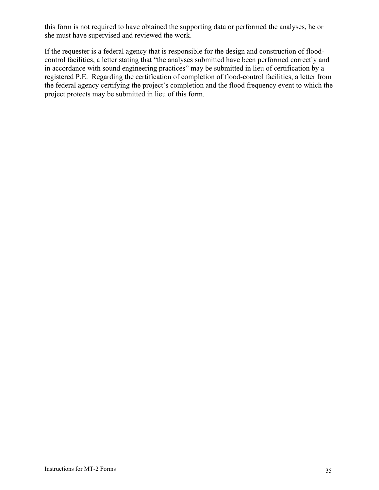this form is not required to have obtained the supporting data or performed the analyses, he or she must have supervised and reviewed the work.

If the requester is a federal agency that is responsible for the design and construction of floodcontrol facilities, a letter stating that "the analyses submitted have been performed correctly and in accordance with sound engineering practices" may be submitted in lieu of certification by a registered P.E. Regarding the certification of completion of flood-control facilities, a letter from the federal agency certifying the project's completion and the flood frequency event to which the project protects may be submitted in lieu of this form.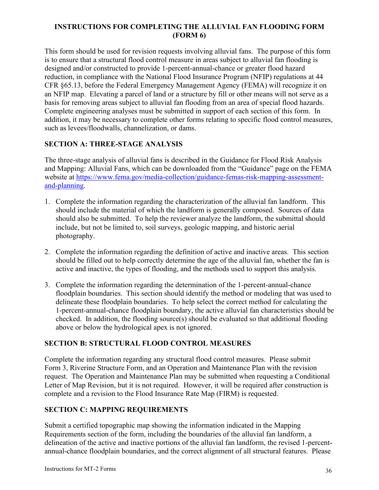## <span id="page-35-0"></span>**INSTRUCTIONS FOR COMPLETING THE ALLUVIAL FAN FLOODING FORM (FORM 6)**

This form should be used for revision requests involving alluvial fans. The purpose of this form is to ensure that a structural flood control measure in areas subject to alluvial fan flooding is designed and/or constructed to provide 1-percent-annual-chance or greater flood hazard reduction, in compliance with the National Flood Insurance Program (NFIP) regulations at 44 CFR §65.13, before the Federal Emergency Management Agency (FEMA) will recognize it on an NFIP map. Elevating a parcel of land or a structure by fill or other means will not serve as a basis for removing areas subject to alluvial fan flooding from an area of special flood hazards. Complete engineering analyses must be submitted in support of each section of this form. In addition, it may be necessary to complete other forms relating to specific flood control measures, such as levees/floodwalls, channelization, or dams.

## **SECTION A: THREE-STAGE ANALYSIS**

The three-stage analysis of alluvial fans is described in the Guidance for Flood Risk Analysis and Mapping: Alluvial Fans, which can be downloaded from the "Guidance" page on the FEMA website at [https://www.fema.gov/media-collection/guidance-femas-risk-mapping-assessment](https://www.fema.gov/media-collection/guidance-femas-risk-mapping-assessment-and-planning)[and-planning.](https://www.fema.gov/media-collection/guidance-femas-risk-mapping-assessment-and-planning)

- 1. Complete the information regarding the characterization of the alluvial fan landform. This should include the material of which the landform is generally composed. Sources of data should also be submitted. To help the reviewer analyze the landform, the submittal should include, but not be limited to, soil surveys, geologic mapping, and historic aerial photography.
- 2. Complete the information regarding the definition of active and inactive areas. This section should be filled out to help correctly determine the age of the alluvial fan, whether the fan is active and inactive, the types of flooding, and the methods used to support this analysis.
- 3. Complete the information regarding the determination of the 1-percent-annual-chance floodplain boundaries. This section should identify the method or modeling that was used to delineate these floodplain boundaries. To help select the correct method for calculating the 1-percent-annual-chance floodplain boundary, the active alluvial fan characteristics should be checked. In addition, the flooding source(s) should be evaluated so that additional flooding above or below the hydrological apex is not ignored.

# **SECTION B: STRUCTURAL FLOOD CONTROL MEASURES**

Complete the information regarding any structural flood control measures. Please submit Form 3, Riverine Structure Form, and an Operation and Maintenance Plan with the revision request. The Operation and Maintenance Plan may be submitted when requesting a Conditional Letter of Map Revision, but it is not required. However, it will be required after construction is complete and a revision to the Flood Insurance Rate Map (FIRM) is requested.

## **SECTION C: MAPPING REQUIREMENTS**

Submit a certified topographic map showing the information indicated in the Mapping Requirements section of the form, including the boundaries of the alluvial fan landform, a delineation of the active and inactive portions of the alluvial fan landform, the revised 1-percentannual-chance floodplain boundaries, and the correct alignment of all structural features. Please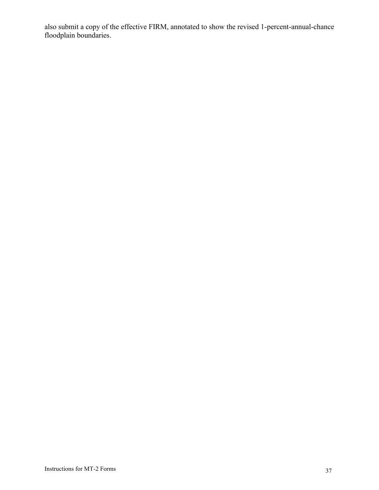also submit a copy of the effective FIRM, annotated to show the revised 1-percent-annual-chance floodplain boundaries.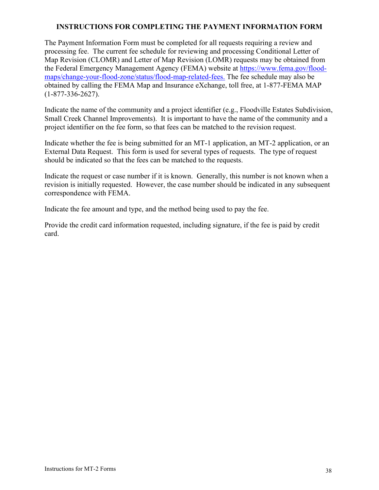## <span id="page-37-0"></span>**INSTRUCTIONS FOR COMPLETING THE PAYMENT INFORMATION FORM**

The Payment Information Form must be completed for all requests requiring a review and processing fee. The current fee schedule for reviewing and processing Conditional Letter of Map Revision (CLOMR) and Letter of Map Revision (LOMR) requests may be obtained from the Federal Emergency Management Agency (FEMA) website at [https://www.fema.gov/flood](https://www.fema.gov/flood-maps/change-your-flood-zone/status/flood-map-related-fees)[maps/change-your-flood-zone/status/flood-map-related-fees.](https://www.fema.gov/flood-maps/change-your-flood-zone/status/flood-map-related-fees) The fee schedule may also be obtained by calling the FEMA Map and Insurance eXchange, toll free, at 1-877-FEMA MAP (1-877-336-2627).

Indicate the name of the community and a project identifier (e.g., Floodville Estates Subdivision, Small Creek Channel Improvements). It is important to have the name of the community and a project identifier on the fee form, so that fees can be matched to the revision request.

Indicate whether the fee is being submitted for an MT-1 application, an MT-2 application, or an External Data Request. This form is used for several types of requests. The type of request should be indicated so that the fees can be matched to the requests.

Indicate the request or case number if it is known. Generally, this number is not known when a revision is initially requested. However, the case number should be indicated in any subsequent correspondence with FEMA.

Indicate the fee amount and type, and the method being used to pay the fee.

Provide the credit card information requested, including signature, if the fee is paid by credit card.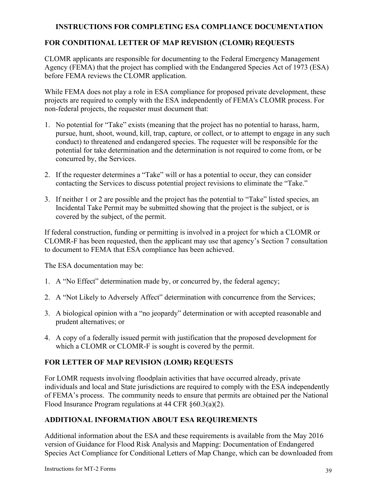## <span id="page-38-0"></span>**INSTRUCTIONS FOR COMPLETING ESA COMPLIANCE DOCUMENTATION**

## **FOR CONDITIONAL LETTER OF MAP REVISION (CLOMR) REQUESTS**

CLOMR applicants are responsible for documenting to the Federal Emergency Management Agency (FEMA) that the project has complied with the Endangered Species Act of 1973 (ESA) before FEMA reviews the CLOMR application.

While FEMA does not play a role in ESA compliance for proposed private development, these projects are required to comply with the ESA independently of FEMA's CLOMR process. For non-federal projects, the requester must document that:

- 1. No potential for "Take" exists (meaning that the project has no potential to harass, harm, pursue, hunt, shoot, wound, kill, trap, capture, or collect, or to attempt to engage in any such conduct) to threatened and endangered species. The requester will be responsible for the potential for take determination and the determination is not required to come from, or be concurred by, the Services.
- 2. If the requester determines a "Take" will or has a potential to occur, they can consider contacting the Services to discuss potential project revisions to eliminate the "Take."
- 3. If neither 1 or 2 are possible and the project has the potential to "Take" listed species, an Incidental Take Permit may be submitted showing that the project is the subject, or is covered by the subject, of the permit.

If federal construction, funding or permitting is involved in a project for which a CLOMR or CLOMR-F has been requested, then the applicant may use that agency's Section 7 consultation to document to FEMA that ESA compliance has been achieved.

The ESA documentation may be:

- 1. A "No Effect" determination made by, or concurred by, the federal agency;
- 2. A "Not Likely to Adversely Affect" determination with concurrence from the Services;
- 3. A biological opinion with a "no jeopardy" determination or with accepted reasonable and prudent alternatives; or
- 4. A copy of a federally issued permit with justification that the proposed development for which a CLOMR or CLOMR-F is sought is covered by the permit.

# **FOR LETTER OF MAP REVISION (LOMR) REQUESTS**

For LOMR requests involving floodplain activities that have occurred already, private individuals and local and State jurisdictions are required to comply with the ESA independently of FEMA's process. The community needs to ensure that permits are obtained per the National Flood Insurance Program regulations at 44 CFR §60.3(a)(2).

## **ADDITIONAL INFORMATION ABOUT ESA REQUIREMENTS**

Additional information about the ESA and these requirements is available from the May 2016 version of Guidance for Flood Risk Analysis and Mapping: Documentation of Endangered Species Act Compliance for Conditional Letters of Map Change, which can be downloaded from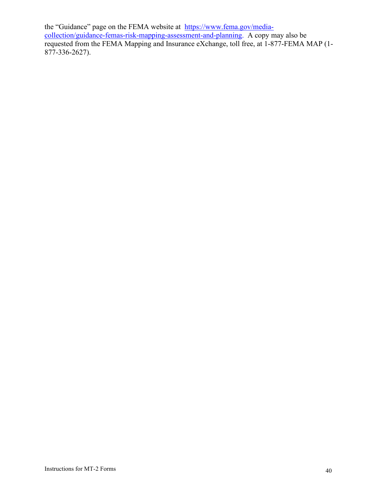the "Guidance" page on the FEMA website at [https://www.fema.gov/media](https://www.fema.gov/media-collection/guidance-femas-risk-mapping-assessment-and-planning)[collection/guidance-femas-risk-mapping-assessment-and-planning.](https://www.fema.gov/media-collection/guidance-femas-risk-mapping-assessment-and-planning) A copy may also be requested from the FEMA Mapping and Insurance eXchange, toll free, at 1-877-FEMA MAP (1-877-336-2627).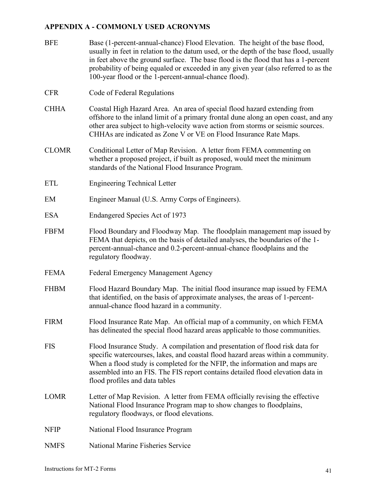# <span id="page-40-0"></span>**APPENDIX A - COMMONLY USED ACRONYMS**

| <b>BFE</b>   | Base (1-percent-annual-chance) Flood Elevation. The height of the base flood,<br>usually in feet in relation to the datum used, or the depth of the base flood, usually<br>in feet above the ground surface. The base flood is the flood that has a 1-percent<br>probability of being equaled or exceeded in any given year (also referred to as the<br>100-year flood or the 1-percent-annual-chance flood). |
|--------------|---------------------------------------------------------------------------------------------------------------------------------------------------------------------------------------------------------------------------------------------------------------------------------------------------------------------------------------------------------------------------------------------------------------|
| <b>CFR</b>   | Code of Federal Regulations                                                                                                                                                                                                                                                                                                                                                                                   |
| <b>CHHA</b>  | Coastal High Hazard Area. An area of special flood hazard extending from<br>offshore to the inland limit of a primary frontal dune along an open coast, and any<br>other area subject to high-velocity wave action from storms or seismic sources.<br>CHHAs are indicated as Zone V or VE on Flood Insurance Rate Maps.                                                                                       |
| <b>CLOMR</b> | Conditional Letter of Map Revision. A letter from FEMA commenting on<br>whether a proposed project, if built as proposed, would meet the minimum<br>standards of the National Flood Insurance Program.                                                                                                                                                                                                        |
| <b>ETL</b>   | <b>Engineering Technical Letter</b>                                                                                                                                                                                                                                                                                                                                                                           |
| EM           | Engineer Manual (U.S. Army Corps of Engineers).                                                                                                                                                                                                                                                                                                                                                               |
| <b>ESA</b>   | Endangered Species Act of 1973                                                                                                                                                                                                                                                                                                                                                                                |
| <b>FBFM</b>  | Flood Boundary and Floodway Map. The floodplain management map issued by<br>FEMA that depicts, on the basis of detailed analyses, the boundaries of the 1-<br>percent-annual-chance and 0.2-percent-annual-chance floodplains and the<br>regulatory floodway.                                                                                                                                                 |
| <b>FEMA</b>  | <b>Federal Emergency Management Agency</b>                                                                                                                                                                                                                                                                                                                                                                    |
| <b>FHBM</b>  | Flood Hazard Boundary Map. The initial flood insurance map issued by FEMA<br>that identified, on the basis of approximate analyses, the areas of 1-percent-<br>annual-chance flood hazard in a community.                                                                                                                                                                                                     |
| <b>FIRM</b>  | Flood Insurance Rate Map. An official map of a community, on which FEMA<br>has delineated the special flood hazard areas applicable to those communities.                                                                                                                                                                                                                                                     |
| <b>FIS</b>   | Flood Insurance Study. A compilation and presentation of flood risk data for<br>specific watercourses, lakes, and coastal flood hazard areas within a community.<br>When a flood study is completed for the NFIP, the information and maps are<br>assembled into an FIS. The FIS report contains detailed flood elevation data in<br>flood profiles and data tables                                           |
| <b>LOMR</b>  | Letter of Map Revision. A letter from FEMA officially revising the effective<br>National Flood Insurance Program map to show changes to floodplains,<br>regulatory floodways, or flood elevations.                                                                                                                                                                                                            |
| <b>NFIP</b>  | National Flood Insurance Program                                                                                                                                                                                                                                                                                                                                                                              |
| <b>NMFS</b>  | National Marine Fisheries Service                                                                                                                                                                                                                                                                                                                                                                             |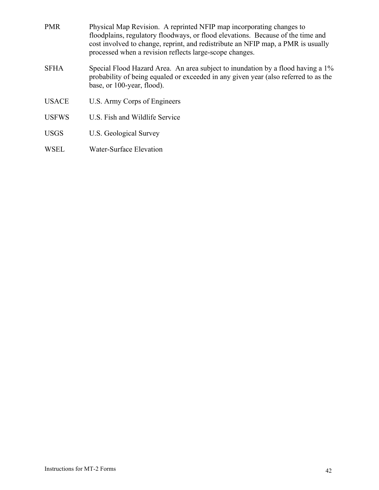- PMR Physical Map Revision. A reprinted NFIP map incorporating changes to floodplains, regulatory floodways, or flood elevations. Because of the time and cost involved to change, reprint, and redistribute an NFIP map, a PMR is usually processed when a revision reflects large-scope changes. SFHA Special Flood Hazard Area. An area subject to inundation by a flood having a 1% probability of being equaled or exceeded in any given year (also referred to as the base, or 100-year, flood). USACE U.S. Army Corps of Engineers
- USFWS U.S. Fish and Wildlife Service
- USGS U.S. Geological Survey
- WSEL Water-Surface Elevation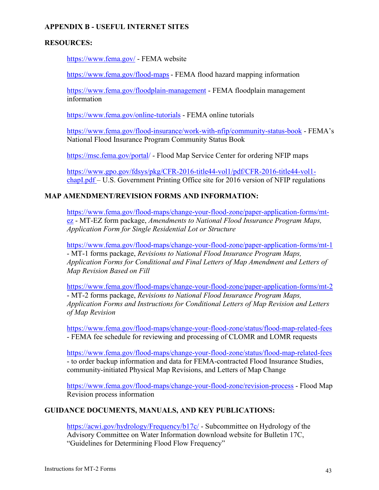## <span id="page-42-0"></span>**APPENDIX B - USEFUL INTERNET SITES**

## **RESOURCES:**

<https://www.fema.gov/> - FEMA website

<https://www.fema.gov/flood-maps> - FEMA flood hazard mapping information

<https://www.fema.gov/floodplain-management> - FEMA floodplain management information

<https://www.fema.gov/online-tutorials> - FEMA online tutorials

<https://www.fema.gov/flood-insurance/work-with-nfip/community-status-book> - FEMA's National Flood Insurance Program Community Status Book

[https://msc.fema.gov/portal/](https://msc.fema.gov/portal) - Flood Map Service Center for ordering NFIP maps

[https://www.gpo.gov/fdsys/pkg/CFR-2016-title44-vol1/pdf/CFR-2016-title44-vol1](https://www.gpo.gov/fdsys/pkg/CFR-2016-title44-vol1/pdf/CFR-2016-title44-vol1-chapI.pdf) [chapI.pdf](https://www.gpo.gov/fdsys/pkg/CFR-2016-title44-vol1/pdf/CFR-2016-title44-vol1-chapI.pdf) – U.S. Government Printing Office site for 2016 version of NFIP regulations

### **MAP AMENDMENT/REVISION FORMS AND INFORMATION:**

[https://www.fema.gov/flood-maps/change-your-flood-zone/paper-application-forms/mt](https://www.fema.gov/flood-maps/change-your-flood-zone/paper-application-forms/mt-ez)[ez](https://www.fema.gov/flood-maps/change-your-flood-zone/paper-application-forms/mt-ez) - MT-EZ form package, *Amendments to National Flood Insurance Program Maps, Application Form for Single Residential Lot or Structure*

<https://www.fema.gov/flood-maps/change-your-flood-zone/paper-application-forms/mt-1> - MT-1 forms package, *Revisions to National Flood Insurance Program Maps, Application Forms for Conditional and Final Letters of Map Amendment and Letters of Map Revision Based on Fill*

<https://www.fema.gov/flood-maps/change-your-flood-zone/paper-application-forms/mt-2> - MT-2 forms package, *Revisions to National Flood Insurance Program Maps, Application Forms and Instructions for Conditional Letters of Map Revision and Letters of Map Revision*

<https://www.fema.gov/flood-maps/change-your-flood-zone/status/flood-map-related-fees> - FEMA fee schedule for reviewing and processing of CLOMR and LOMR requests

<https://www.fema.gov/flood-maps/change-your-flood-zone/status/flood-map-related-fees> - to order backup information and data for FEMA-contracted Flood Insurance Studies, community-initiated Physical Map Revisions, and Letters of Map Change

<https://www.fema.gov/flood-maps/change-your-flood-zone/revision-process> - Flood Map Revision process information

## **GUIDANCE DOCUMENTS, MANUALS, AND KEY PUBLICATIONS:**

<https://acwi.gov/hydrology/Frequency/b17c/> - Subcommittee on Hydrology of the Advisory Committee on Water Information download website for Bulletin 17C, "Guidelines for Determining Flood Flow Frequency"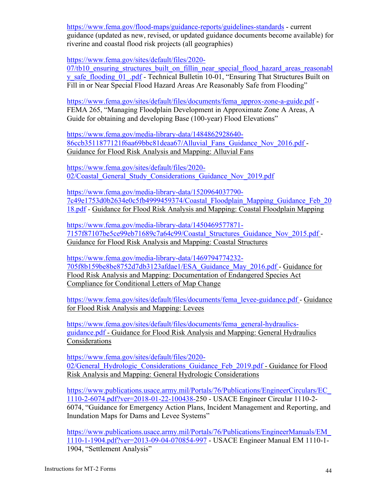<https://www.fema.gov/flood-maps/guidance-reports/guidelines-standards> - current guidance (updated as new, revised, or updated guidance documents become available) for riverine and coastal flood risk projects (all geographies)

[https://www.fema.gov/sites/default/files/2020-](https://www.fema.gov/sites/default/files/2020-07/tb10_ensuring_structures_built_on_fillin_near_special_flood_hazard_areas_reasonably_safe_flooding_01_.pdf)

07/tb10 ensuring structures built on fillin near special flood hazard areas reasonabl [y\\_safe\\_flooding\\_01\\_.pdf](https://www.fema.gov/sites/default/files/2020-07/tb10_ensuring_structures_built_on_fillin_near_special_flood_hazard_areas_reasonably_safe_flooding_01_.pdf) - Technical Bulletin 10-01, "Ensuring That Structures Built on Fill in or Near Special Flood Hazard Areas Are Reasonably Safe from Flooding"

[https://www.fema.gov/sites/default/files/documents/fema\\_approx-zone-a-guide.pdf](https://www.fema.gov/sites/default/files/documents/fema_approx-zone-a-guide.pdf) - FEMA 265, "Managing Floodplain Development in Approximate Zone A Areas, A Guide for obtaining and developing Base (100-year) Flood Elevations"

[https://www.fema.gov/media-library-data/1484862928640-](https://www.fema.gov/media-library-data/1484862928640-86ccb3511877121f6aa69bbc81deaa67/Alluvial_Fans_Guidance_Nov_2016.pdf) [86ccb3511877121f6aa69bbc81deaa67/Alluvial\\_Fans\\_Guidance\\_Nov\\_2016.pdf](https://www.fema.gov/media-library-data/1484862928640-86ccb3511877121f6aa69bbc81deaa67/Alluvial_Fans_Guidance_Nov_2016.pdf) - Guidance for Flood Risk Analysis and Mapping: Alluvial Fans

[https://www.fema.gov/sites/default/files/2020-](https://www.fema.gov/sites/default/files/2020-02/Coastal_General_Study_Considerations_Guidance_Nov_2019.pdf) 02/Coastal General Study Considerations Guidance Nov 2019.pdf

[https://www.fema.gov/media-library-data/1520964037790-](https://www.fema.gov/media-library-data/1520964037790-7c49e1753d0b2634e0c5fb4999459374/Coastal_Floodplain_Mapping_Guidance_Feb_2018.pdf) [7c49e1753d0b2634e0c5fb4999459374/Coastal\\_Floodplain\\_Mapping\\_Guidance\\_Feb\\_20](https://www.fema.gov/media-library-data/1520964037790-7c49e1753d0b2634e0c5fb4999459374/Coastal_Floodplain_Mapping_Guidance_Feb_2018.pdf) [18.pdf](https://www.fema.gov/media-library-data/1520964037790-7c49e1753d0b2634e0c5fb4999459374/Coastal_Floodplain_Mapping_Guidance_Feb_2018.pdf) *-* Guidance for Flood Risk Analysis and Mapping: Coastal Floodplain Mapping

[https://www.fema.gov/media-library-data/1450469577871-](https://www.fema.gov/media-library-data/1450469577871-7157f87107be5ce99eb71689c7a64c99/Coastal_Structures_Guidance_Nov_2015.pdf) [7157f87107be5ce99eb71689c7a64c99/Coastal\\_Structures\\_Guidance\\_Nov\\_2015.pdf](https://www.fema.gov/media-library-data/1450469577871-7157f87107be5ce99eb71689c7a64c99/Coastal_Structures_Guidance_Nov_2015.pdf) - Guidance for Flood Risk Analysis and Mapping: Coastal Structures

[https://www.fema.gov/media-library-data/1469794774232-](https://www.fema.gov/media-library-data/1469794774232-705f8b159be8be8752d7db3123afdae1/ESA_Guidance_May_2016.pdf) [705f8b159be8be8752d7db3123afdae1/ESA\\_Guidance\\_May\\_2016.pdf](https://www.fema.gov/media-library-data/1469794774232-705f8b159be8be8752d7db3123afdae1/ESA_Guidance_May_2016.pdf) - Guidance for Flood Risk Analysis and Mapping: Documentation of Endangered Species Act Compliance for Conditional Letters of Map Change

[https://www.fema.gov/sites/default/files/documents/fema\\_levee-guidance.pdf](https://www.fema.gov/sites/default/files/documents/fema_levee-guidance.pdf) - Guidance for Flood Risk Analysis and Mapping: Levees

[https://www.fema.gov/sites/default/files/documents/fema\\_general-hydraulics](https://www.fema.gov/sites/default/files/documents/fema_general-hydraulics-guidance.pdf)[guidance.pdf](https://www.fema.gov/sites/default/files/documents/fema_general-hydraulics-guidance.pdf) - Guidance for Flood Risk Analysis and Mapping: General Hydraulics Considerations

[https://www.fema.gov/sites/default/files/2020-](https://www.fema.gov/sites/default/files/2020-02/General_Hydrologic_Considerations_Guidance_Feb_2019.pdf) 02/General Hydrologic Considerations Guidance Feb 2019.pdf - Guidance for Flood Risk Analysis and Mapping: General Hydrologic Considerations

[https://www.publications.usace.army.mil/Portals/76/Publications/EngineerCirculars/EC\\_](https://www.publications.usace.army.mil/Portals/76/Publications/EngineerCirculars/EC_1110-2-6074.pdf?ver=2018-01-22-100438-250) [1110-2-6074.pdf?ver=2018-01-22-100438-250](https://www.publications.usace.army.mil/Portals/76/Publications/EngineerCirculars/EC_1110-2-6074.pdf?ver=2018-01-22-100438-250) - USACE Engineer Circular 1110-2- 6074, "Guidance for Emergency Action Plans, Incident Management and Reporting, and Inundation Maps for Dams and Levee Systems"

[https://www.publications.usace.army.mil/Portals/76/Publications/EngineerManuals/EM\\_](https://www.publications.usace.army.mil/Portals/76/Publications/EngineerManuals/EM_1110-1-1904.pdf?ver=2013-09-04-070854-997) [1110-1-1904.pdf?ver=2013-09-04-070854-997](https://www.publications.usace.army.mil/Portals/76/Publications/EngineerManuals/EM_1110-1-1904.pdf?ver=2013-09-04-070854-997) - USACE Engineer Manual EM 1110-1- 1904, "Settlement Analysis"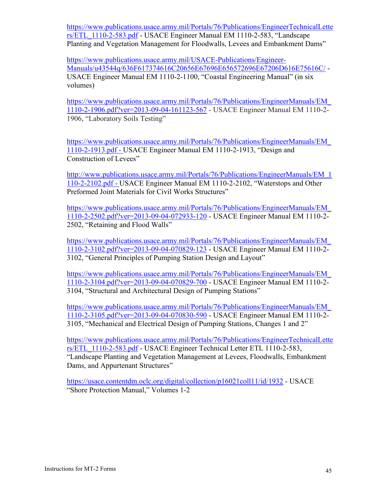[https://www.publications.usace.army.mil/Portals/76/Publications/EngineerTechnicalLette](https://www.publications.usace.army.mil/Portals/76/Publications/EngineerTechnicalLetters/ETL_1110-2-583.pdf) [rs/ETL\\_1110-2-583.pdf](https://www.publications.usace.army.mil/Portals/76/Publications/EngineerTechnicalLetters/ETL_1110-2-583.pdf) - USACE Engineer Manual EM 1110-2-583, "Landscape Planting and Vegetation Management for Floodwalls, Levees and Embankment Dams"

[https://www.publications.usace.army.mil/USACE-Publications/Engineer-](https://www.publications.usace.army.mil/USACE-Publications/Engineer-Manuals/u43544q/636F617374616C20656E67696E656572696E67206D616E75616C/)[Manuals/u43544q/636F617374616C20656E67696E656572696E67206D616E75616C/](https://www.publications.usace.army.mil/USACE-Publications/Engineer-Manuals/u43544q/636F617374616C20656E67696E656572696E67206D616E75616C/) - USACE Engineer Manual EM 1110-2-1100, "Coastal Engineering Manual" (in six volumes)

[https://www.publications.usace.army.mil/Portals/76/Publications/EngineerManuals/EM\\_](https://www.publications.usace.army.mil/Portals/76/Publications/EngineerManuals/EM_1110-2-1906.pdf?ver=2013-09-04-161123-567) [1110-2-1906.pdf?ver=2013-09-04-161123-567](https://www.publications.usace.army.mil/Portals/76/Publications/EngineerManuals/EM_1110-2-1906.pdf?ver=2013-09-04-161123-567) - USACE Engineer Manual EM 1110-2- 1906, "Laboratory Soils Testing"

[https://www.publications.usace.army.mil/Portals/76/Publications/EngineerManuals/EM\\_](https://www.publications.usace.army.mil/Portals/76/Publications/EngineerManuals/EM_1110-2-1913.pdf%20-) [1110-2-1913.pdf](https://www.publications.usace.army.mil/Portals/76/Publications/EngineerManuals/EM_1110-2-1913.pdf%20-) - USACE Engineer Manual EM 1110-2-1913, "Design and Construction of Levees"

[http://www.publications.usace.army.mil/Portals/76/Publications/EngineerManuals/EM\\_1](http://www.publications.usace.army.mil/Portals/76/Publications/EngineerManuals/EM_1110-2-2102.pdf) [110-2-2102.pdf](http://www.publications.usace.army.mil/Portals/76/Publications/EngineerManuals/EM_1110-2-2102.pdf) - USACE Engineer Manual EM 1110-2-2102, "Waterstops and Other Preformed Joint Materials for Civil Works Structures"

[https://www.publications.usace.army.mil/Portals/76/Publications/EngineerManuals/EM\\_](https://www.publications.usace.army.mil/Portals/76/Publications/EngineerManuals/EM_1110-2-2502.pdf?ver=2013-09-04-072933-120) [1110-2-2502.pdf?ver=2013-09-04-072933-120](https://www.publications.usace.army.mil/Portals/76/Publications/EngineerManuals/EM_1110-2-2502.pdf?ver=2013-09-04-072933-120) - USACE Engineer Manual EM 1110-2- 2502, "Retaining and Flood Walls"

[https://www.publications.usace.army.mil/Portals/76/Publications/EngineerManuals/EM\\_](https://www.publications.usace.army.mil/Portals/76/Publications/EngineerManuals/EM_1110-2-3102.pdf?ver=2013-09-04-070829-123) [1110-2-3102.pdf?ver=2013-09-04-070829-123](https://www.publications.usace.army.mil/Portals/76/Publications/EngineerManuals/EM_1110-2-3102.pdf?ver=2013-09-04-070829-123) - USACE Engineer Manual EM 1110-2- 3102, "General Principles of Pumping Station Design and Layout"

[https://www.publications.usace.army.mil/Portals/76/Publications/EngineerManuals/EM\\_](https://www.publications.usace.army.mil/Portals/76/Publications/EngineerManuals/EM_1110-2-3104.pdf?ver=2013-09-04-070829-700) [1110-2-3104.pdf?ver=2013-09-04-070829-700](https://www.publications.usace.army.mil/Portals/76/Publications/EngineerManuals/EM_1110-2-3104.pdf?ver=2013-09-04-070829-700) - USACE Engineer Manual EM 1110-2- 3104, "Structural and Architectural Design of Pumping Stations"

[https://www.publications.usace.army.mil/Portals/76/Publications/EngineerManuals/EM\\_](https://www.publications.usace.army.mil/Portals/76/Publications/EngineerManuals/EM_1110-2-3105.pdf?ver=2013-09-04-070830-590) [1110-2-3105.pdf?ver=2013-09-04-070830-590](https://www.publications.usace.army.mil/Portals/76/Publications/EngineerManuals/EM_1110-2-3105.pdf?ver=2013-09-04-070830-590) - USACE Engineer Manual EM 1110-2- 3105, "Mechanical and Electrical Design of Pumping Stations, Changes 1 and 2"

[https://www.publications.usace.army.mil/Portals/76/Publications/EngineerTechnicalLette](https://www.publications.usace.army.mil/Portals/76/Publications/EngineerTechnicalLetters/ETL_1110-2-583.pdf) [rs/ETL\\_1110-2-583.pdf](https://www.publications.usace.army.mil/Portals/76/Publications/EngineerTechnicalLetters/ETL_1110-2-583.pdf) - USACE Engineer Technical Letter ETL 1110-2-583, "Landscape Planting and Vegetation Management at Levees, Floodwalls, Embankment Dams, and Appurtenant Structures"

<https://usace.contentdm.oclc.org/digital/collection/p16021coll11/id/1932> - USACE "Shore Protection Manual," Volumes 1-2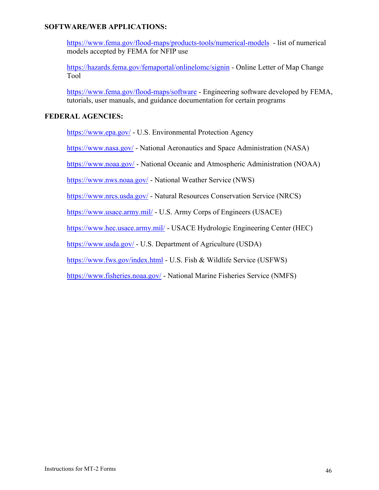### **SOFTWARE/WEB APPLICATIONS:**

<https://www.fema.gov/flood-maps/products-tools/numerical-models> - list of numerical models accepted by FEMA for NFIP use

<https://hazards.fema.gov/femaportal/onlinelomc/signin> - Online Letter of Map Change Tool

<https://www.fema.gov/flood-maps/software> - Engineering software developed by FEMA, tutorials, user manuals, and guidance documentation for certain programs

## **FEDERAL AGENCIES:**

<https://www.epa.gov/> - U.S. Environmental Protection Agency

<https://www.nasa.gov/> - National Aeronautics and Space Administration (NASA)

<https://www.noaa.gov/> - National Oceanic and Atmospheric Administration (NOAA)

<https://www.nws.noaa.gov/> - National Weather Service (NWS)

<https://www.nrcs.usda.gov/> - Natural Resources Conservation Service (NRCS)

<https://www.usace.army.mil/> - U.S. Army Corps of Engineers (USACE)

<https://www.hec.usace.army.mil/> - USACE Hydrologic Engineering Center (HEC)

<https://www.usda.gov/> - U.S. Department of Agriculture (USDA)

<https://www.fws.gov/index.html> - U.S. Fish & Wildlife Service (USFWS)

<https://www.fisheries.noaa.gov/> - National Marine Fisheries Service (NMFS)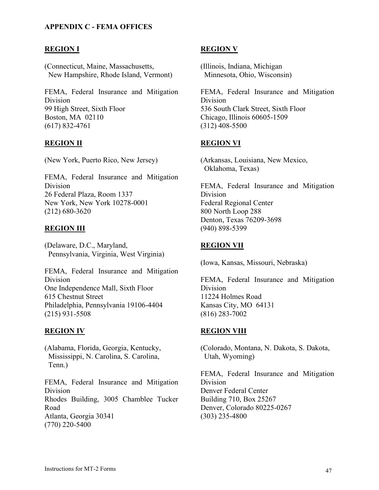### <span id="page-46-0"></span>**APPENDIX C - FEMA OFFICES**

#### **REGION I**

(Connecticut, Maine, Massachusetts, New Hampshire, Rhode Island, Vermont)

FEMA, Federal Insurance and Mitigation Division 99 High Street, Sixth Floor Boston, MA 02110 (617) 832-4761

#### **REGION II**

(New York, Puerto Rico, New Jersey)

FEMA, Federal Insurance and Mitigation Division 26 Federal Plaza, Room 1337 New York, New York 10278-0001 (212) 680-3620

#### **REGION III**

(Delaware, D.C., Maryland, Pennsylvania, Virginia, West Virginia)

FEMA, Federal Insurance and Mitigation Division One Independence Mall, Sixth Floor 615 Chestnut Street Philadelphia, Pennsylvania 19106-4404 (215) 931-5508

#### **REGION IV**

(Alabama, Florida, Georgia, Kentucky, Mississippi, N. Carolina, S. Carolina, Tenn.)

FEMA, Federal Insurance and Mitigation Division Rhodes Building, 3005 Chamblee Tucker Road Atlanta, Georgia 30341 (770) 220-5400

#### **REGION V**

(Illinois, Indiana, Michigan Minnesota, Ohio, Wisconsin)

FEMA, Federal Insurance and Mitigation Division 536 South Clark Street, Sixth Floor Chicago, Illinois 60605-1509 (312) 408-5500

#### **REGION VI**

(Arkansas, Louisiana, New Mexico, Oklahoma, Texas)

FEMA, Federal Insurance and Mitigation Division Federal Regional Center 800 North Loop 288 Denton, Texas 76209-3698 (940) 898-5399

#### **REGION VII**

(Iowa, Kansas, Missouri, Nebraska)

FEMA, Federal Insurance and Mitigation Division 11224 Holmes Road Kansas City, MO 64131 (816) 283-7002

#### **REGION VIII**

(Colorado, Montana, N. Dakota, S. Dakota, Utah, Wyoming)

FEMA, Federal Insurance and Mitigation Division Denver Federal Center Building 710, Box 25267 Denver, Colorado 80225-0267 (303) 235-4800